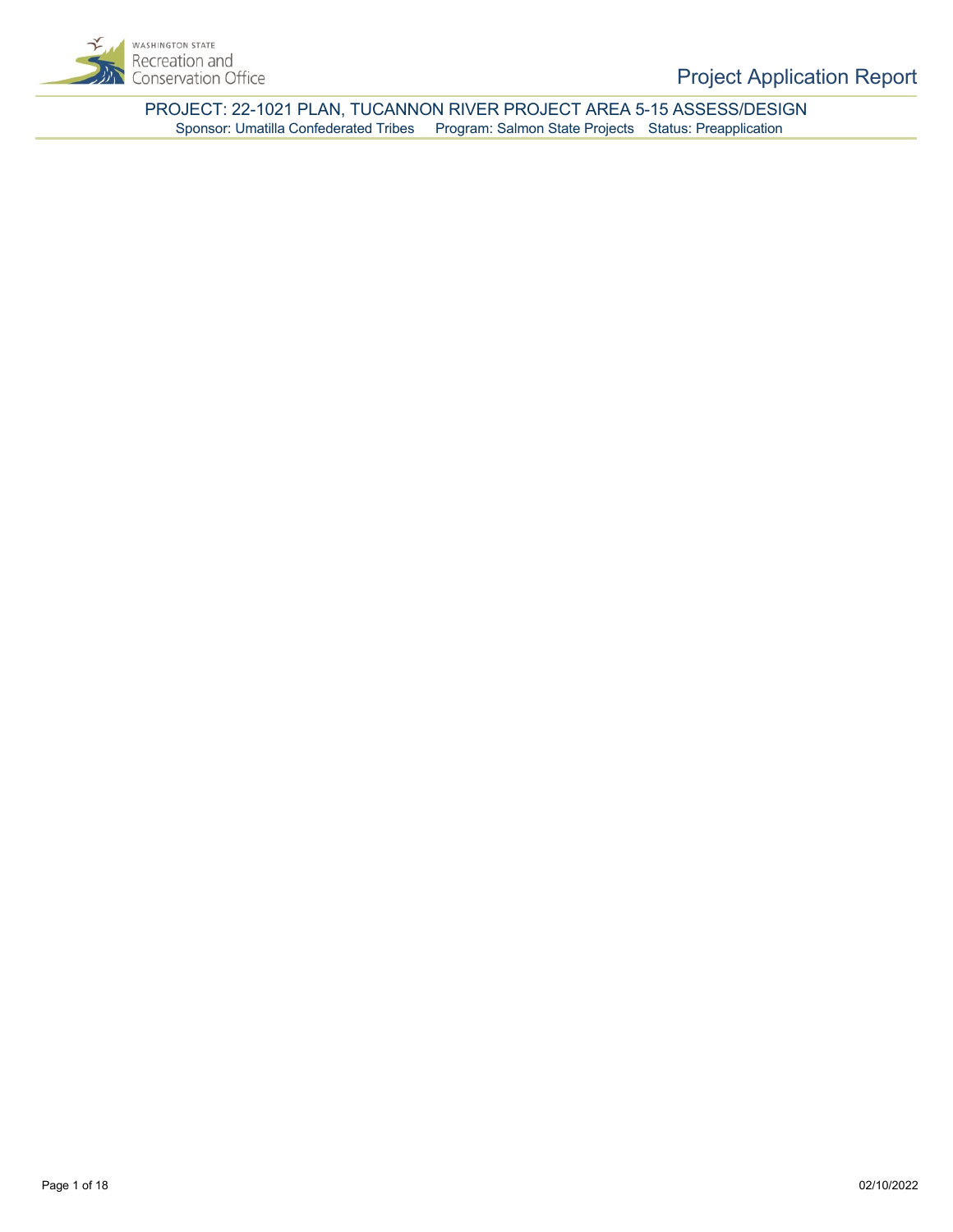

PROJECT: 22-1021 PLAN, TUCANNON RIVER PROJECT AREA 5-15 ASSESS/DESIGN Sponsor: Umatilla Confederated Tribes Program: Salmon State Projects Status: Preapplication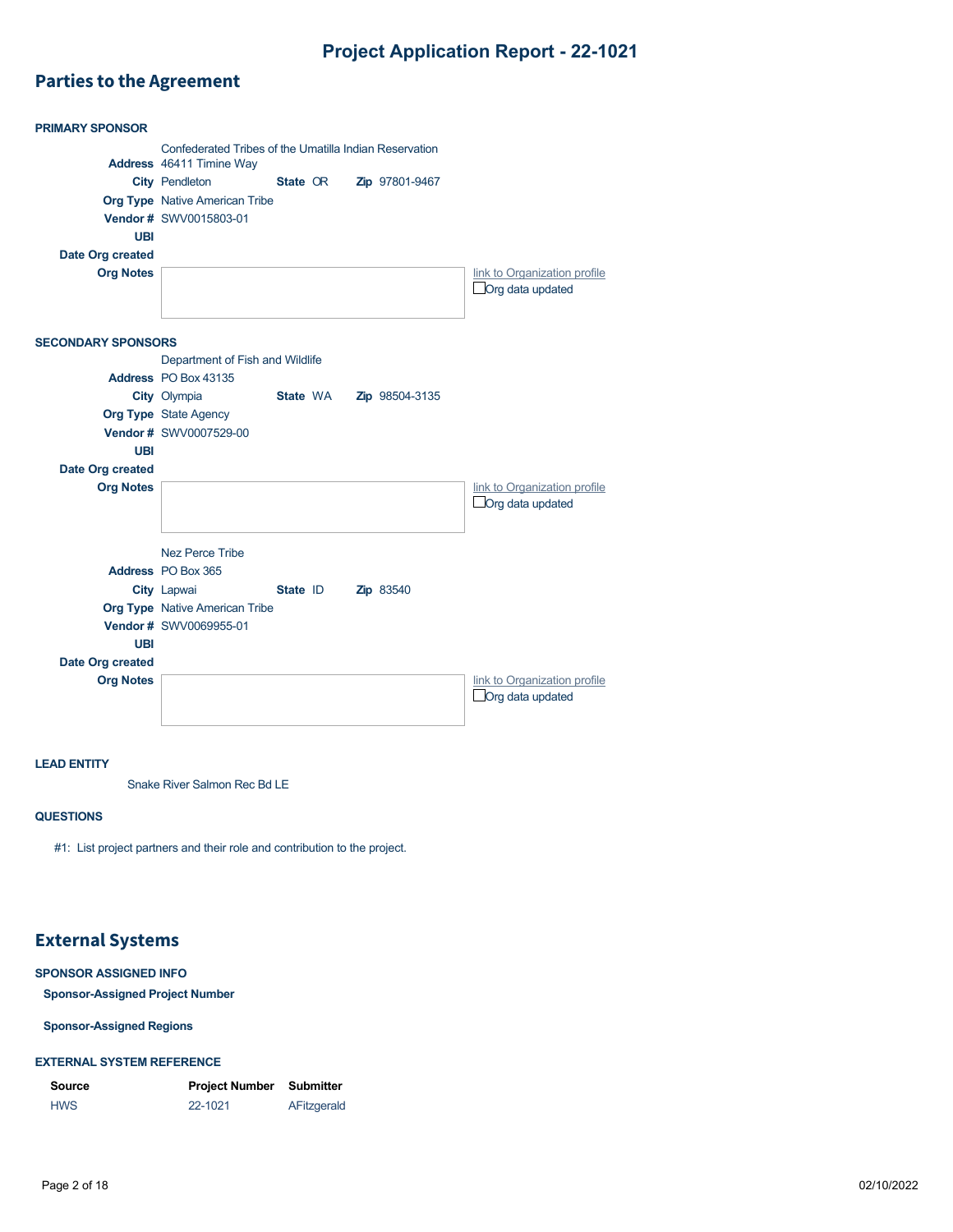# **Parties to the Agreement**

| <b>PRIMARY SPONSOR</b>    |                                                                                    |          |  |                  |                                                  |
|---------------------------|------------------------------------------------------------------------------------|----------|--|------------------|--------------------------------------------------|
|                           | Confederated Tribes of the Umatilla Indian Reservation<br>Address 46411 Timine Way |          |  |                  |                                                  |
|                           | City Pendleton                                                                     | State OR |  | Zip 97801-9467   |                                                  |
|                           | <b>Org Type Native American Tribe</b>                                              |          |  |                  |                                                  |
|                           | Vendor # SWV0015803-01                                                             |          |  |                  |                                                  |
| <b>UBI</b>                |                                                                                    |          |  |                  |                                                  |
| Date Org created          |                                                                                    |          |  |                  |                                                  |
| <b>Org Notes</b>          |                                                                                    |          |  |                  | link to Organization profile<br>Org data updated |
| <b>SECONDARY SPONSORS</b> | Department of Fish and Wildlife                                                    |          |  |                  |                                                  |
|                           | Address PO Box 43135                                                               |          |  |                  |                                                  |
|                           | City Olympia                                                                       | State WA |  | Zip 98504-3135   |                                                  |
|                           | <b>Org Type</b> State Agency                                                       |          |  |                  |                                                  |
|                           | Vendor # SWV0007529-00                                                             |          |  |                  |                                                  |
| <b>UBI</b>                |                                                                                    |          |  |                  |                                                  |
| Date Org created          |                                                                                    |          |  |                  |                                                  |
| <b>Org Notes</b>          |                                                                                    |          |  |                  | link to Organization profile<br>Org data updated |
|                           | Nez Perce Tribe                                                                    |          |  |                  |                                                  |
|                           | Address PO Box 365                                                                 |          |  |                  |                                                  |
|                           | City Lapwai                                                                        | State ID |  | <b>Zip 83540</b> |                                                  |
|                           | <b>Org Type</b> Native American Tribe                                              |          |  |                  |                                                  |
|                           | Vendor # SWV0069955-01                                                             |          |  |                  |                                                  |
| <b>UBI</b>                |                                                                                    |          |  |                  |                                                  |
| Date Org created          |                                                                                    |          |  |                  |                                                  |
| <b>Org Notes</b>          |                                                                                    |          |  |                  | link to Organization profile<br>Org data updated |
|                           |                                                                                    |          |  |                  |                                                  |

### **LEAD ENTITY**

Snake River Salmon Rec Bd LE

### **QUESTIONS**

#1: List project partners and their role and contribution to the project.

# **External Systems**

#### **SPONSOR ASSIGNED INFO**

**Sponsor-Assigned Project Number**

### **Sponsor-Assigned Regions**

### **EXTERNAL SYSTEM REFERENCE**

| Source     | <b>Project Number Submitter</b> |             |
|------------|---------------------------------|-------------|
| <b>HWS</b> | 22-1021                         | AFitzgerald |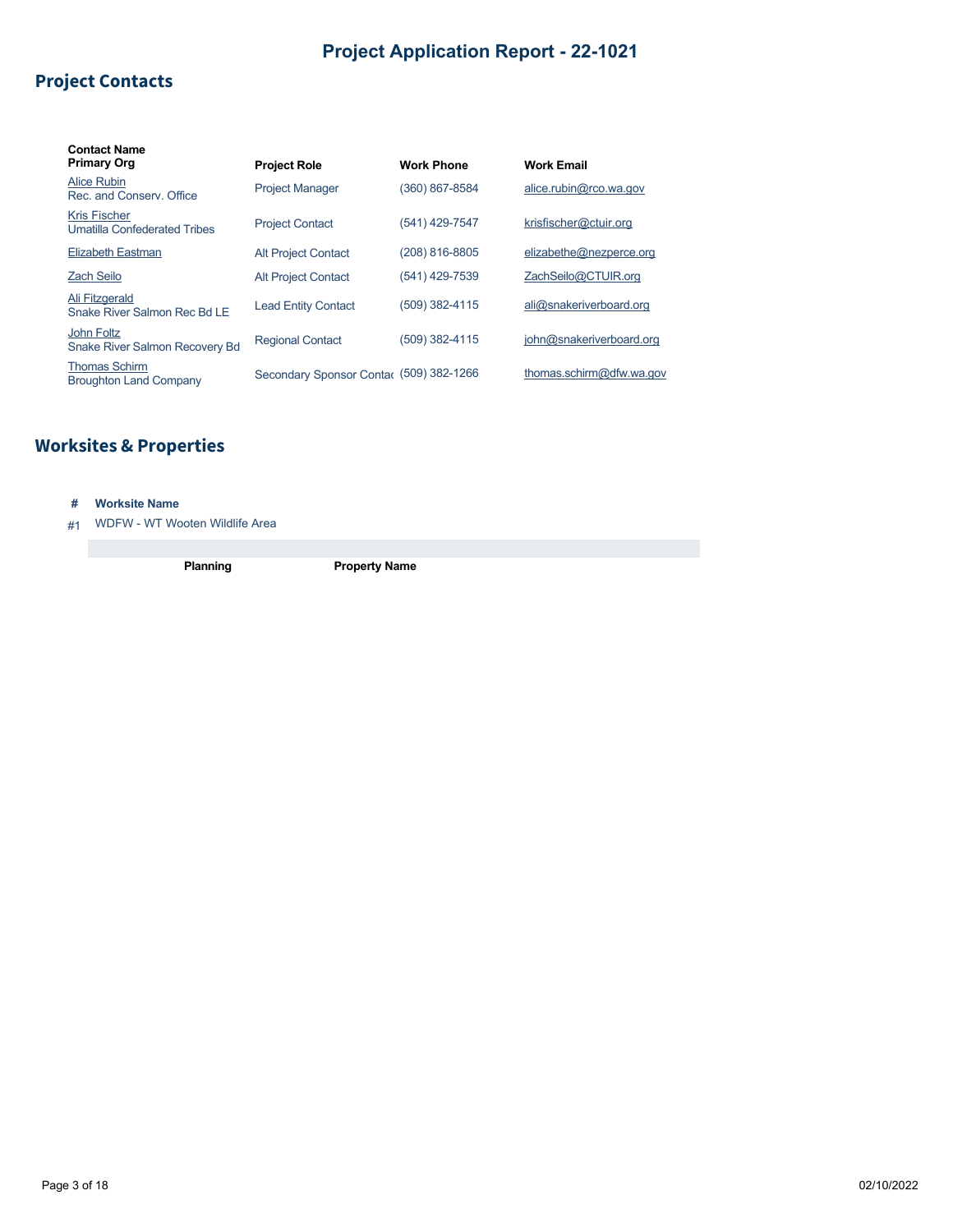# **Project Contacts**

| <b>Contact Name</b>                                        |                                         |                   |                          |
|------------------------------------------------------------|-----------------------------------------|-------------------|--------------------------|
| <b>Primary Org</b>                                         | <b>Project Role</b>                     | <b>Work Phone</b> | <b>Work Email</b>        |
| Alice Rubin<br>Rec. and Conserv. Office                    | <b>Project Manager</b>                  | (360) 867-8584    | alice.rubin@rco.wa.gov   |
| <b>Kris Fischer</b><br><b>Umatilla Confederated Tribes</b> | <b>Project Contact</b>                  | (541) 429-7547    | krisfischer@ctuir.org    |
| <b>Elizabeth Eastman</b>                                   | <b>Alt Project Contact</b>              | (208) 816-8805    | elizabethe@nezperce.org  |
| <b>Zach Seilo</b>                                          | <b>Alt Project Contact</b>              | (541) 429-7539    | ZachSeilo@CTUIR.org      |
| Ali Fitzgerald<br>Snake River Salmon Rec Bd I F            | <b>Lead Entity Contact</b>              | (509) 382-4115    | ali@snakeriverboard.org  |
| John Foltz<br>Snake River Salmon Recovery Bd               | <b>Regional Contact</b>                 | (509) 382-4115    | john@snakeriverboard.org |
| <b>Thomas Schirm</b><br><b>Broughton Land Company</b>      | Secondary Sponsor Contar (509) 382-1266 |                   | thomas.schirm@dfw.wa.gov |

### **Worksites & Properties**

### **# Worksite Name**

#1 WDFW - WT Wooten Wildlife Area

**Planning Property Name**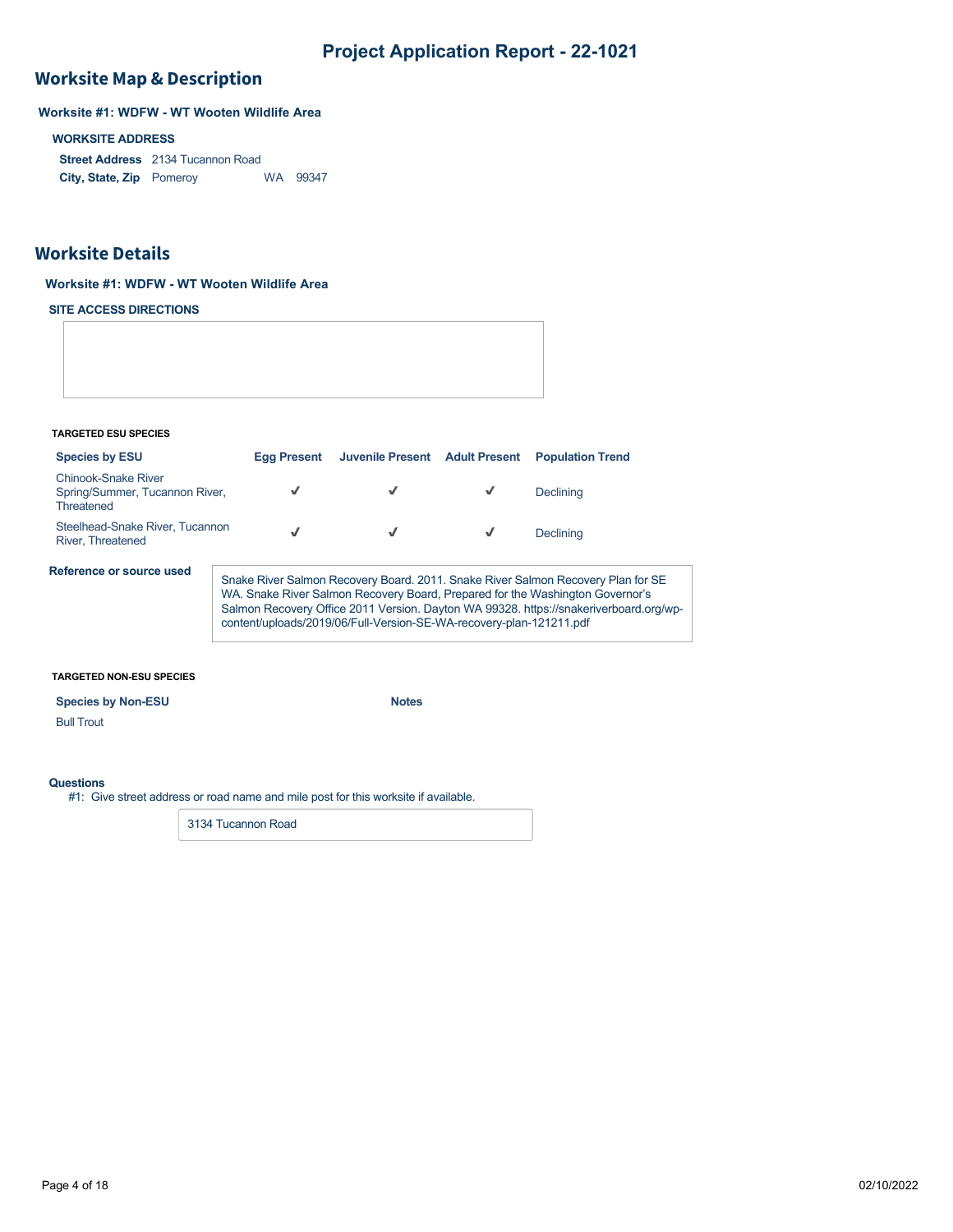# **Worksite Map & Description**

**Worksite #1: WDFW - WT Wooten Wildlife Area**

#### **WORKSITE ADDRESS**

**Street Address** 2134 Tucannon Road **City, State, Zip** Pomeroy WA 99347

### **Worksite Details**

### **Worksite #1: WDFW - WT Wooten Wildlife Area**

**SITE ACCESS DIRECTIONS**

**TARGETED ESU SPECIES**

| <b>Species by ESU</b>                                                                                                                                                                                                                                                                                                                                         | <b>Egg Present</b> | Juvenile Present Adult Present |  | <b>Population Trend</b> |
|---------------------------------------------------------------------------------------------------------------------------------------------------------------------------------------------------------------------------------------------------------------------------------------------------------------------------------------------------------------|--------------------|--------------------------------|--|-------------------------|
| <b>Chinook-Snake River</b><br>Spring/Summer, Tucannon River,<br><b>Threatened</b>                                                                                                                                                                                                                                                                             |                    | √                              |  | Declining               |
| Steelhead-Snake River, Tucannon<br>River, Threatened                                                                                                                                                                                                                                                                                                          |                    | √                              |  | Declining               |
| Reference or source used<br>Snake River Salmon Recovery Board. 2011. Snake River Salmon Recovery Plan for SE<br>WA. Snake River Salmon Recovery Board, Prepared for the Washington Governor's<br>Salmon Recovery Office 2011 Version. Dayton WA 99328. https://snakeriverboard.org/wp-<br>content/uploads/2019/06/Full-Version-SE-WA-recovery-plan-121211.pdf |                    |                                |  |                         |

#### **TARGETED NON-ESU SPECIES**

**Species by Non-ESU Notes** 

Bull Trout

#### **Questions**

#1: Give street address or road name and mile post for this worksite if available.

3134 Tucannon Road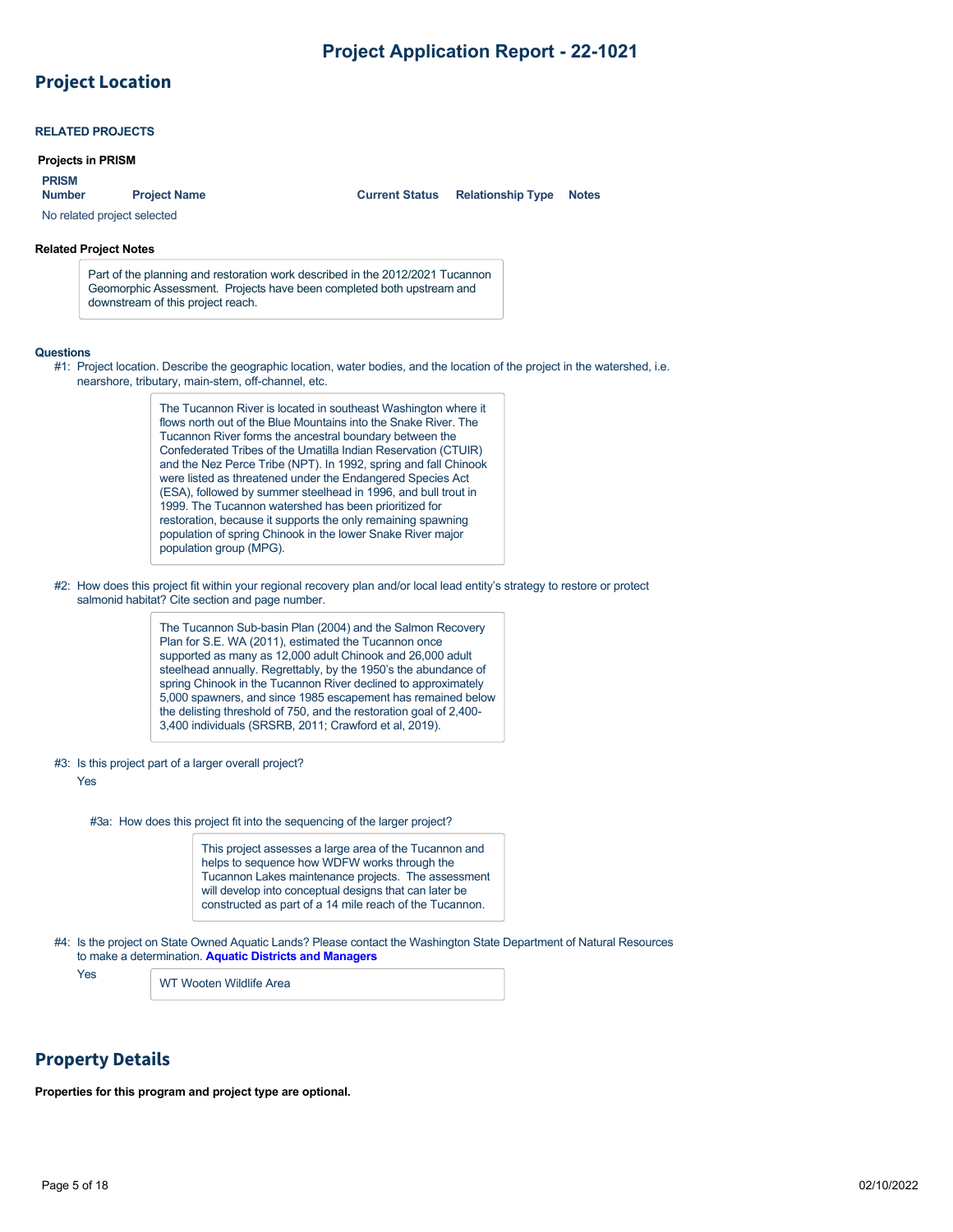**Type Notes** 

### **Project Location**

#### **RELATED PROJECTS**

| <b>Projects in PRISM</b>      |                             |                       |                     |  |  |
|-------------------------------|-----------------------------|-----------------------|---------------------|--|--|
| <b>PRISM</b><br><b>Number</b> | <b>Project Name</b>         | <b>Current Status</b> | <b>Relationship</b> |  |  |
|                               | No related project selected |                       |                     |  |  |

#### **Related Project Notes**

Part of the planning and restoration work described in the 2012/2021 Tucannon Geomorphic Assessment. Projects have been completed both upstream and downstream of this project reach.

#### **Questions**

#1: Project location. Describe the geographic location, water bodies, and the location of the project in the watershed, i.e. nearshore, tributary, main-stem, off-channel, etc.

> The Tucannon River is located in southeast Washington where it flows north out of the Blue Mountains into the Snake River. The Tucannon River forms the ancestral boundary between the Confederated Tribes of the Umatilla Indian Reservation (CTUIR) and the Nez Perce Tribe (NPT). In 1992, spring and fall Chinook were listed as threatened under the Endangered Species Act (ESA), followed by summer steelhead in 1996, and bull trout in 1999. The Tucannon watershed has been prioritized for restoration, because it supports the only remaining spawning population of spring Chinook in the lower Snake River major population group (MPG).

#2: How does this project fit within your regional recovery plan and/or local lead entity's strategy to restore or protect salmonid habitat? Cite section and page number.

> The Tucannon Sub-basin Plan (2004) and the Salmon Recovery Plan for S.E. WA (2011), estimated the Tucannon once supported as many as 12,000 adult Chinook and 26,000 adult steelhead annually. Regrettably, by the 1950's the abundance of spring Chinook in the Tucannon River declined to approximately 5,000 spawners, and since 1985 escapement has remained below the delisting threshold of 750, and the restoration goal of 2,400- 3,400 individuals (SRSRB, 2011; Crawford et al, 2019).

#3: Is this project part of a larger overall project?

Yes

#3a: How does this project fit into the sequencing of the larger project?

This project assesses a large area of the Tucannon and helps to sequence how WDFW works through the Tucannon Lakes maintenance projects. The assessment will develop into conceptual designs that can later be constructed as part of a 14 mile reach of the Tucannon.

#4: Is the project on State Owned Aquatic Lands? Please contact the Washington State Department of Natural Resources to make a determination. **[Aquatic Districts and Managers](https://www.dnr.wa.gov/programs-and-services/aquatics/aquatic-districts-and-land-managers-map)**

Yes

WT Wooten Wildlife Area

### **Property Details**

**Properties for this program and project type are optional.**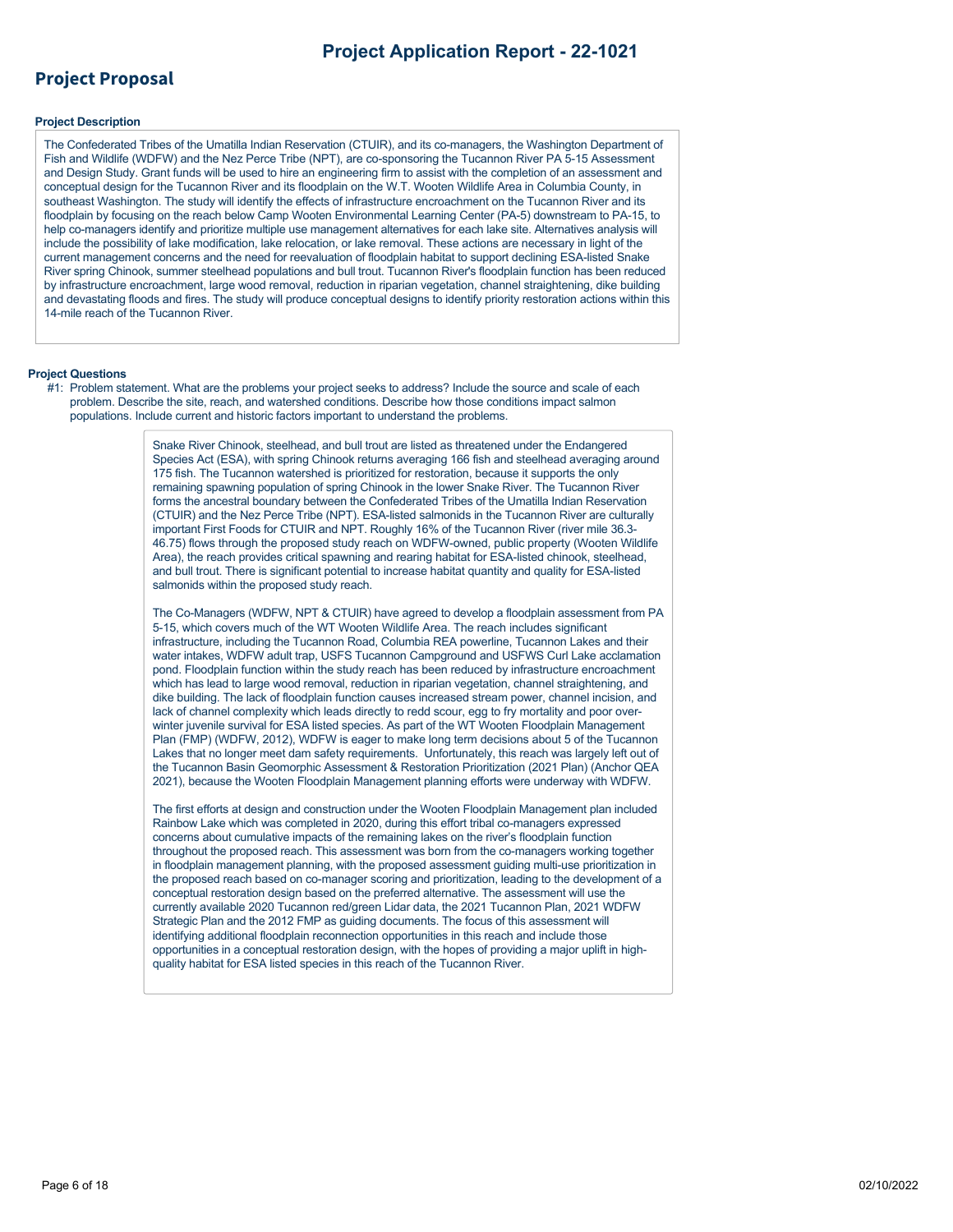### **Project Proposal**

#### **Project Description**

The Confederated Tribes of the Umatilla Indian Reservation (CTUIR), and its co-managers, the Washington Department of Fish and Wildlife (WDFW) and the Nez Perce Tribe (NPT), are co-sponsoring the Tucannon River PA 5-15 Assessment and Design Study. Grant funds will be used to hire an engineering firm to assist with the completion of an assessment and conceptual design for the Tucannon River and its floodplain on the W.T. Wooten Wildlife Area in Columbia County, in southeast Washington. The study will identify the effects of infrastructure encroachment on the Tucannon River and its floodplain by focusing on the reach below Camp Wooten Environmental Learning Center (PA-5) downstream to PA-15, to help co-managers identify and prioritize multiple use management alternatives for each lake site. Alternatives analysis will include the possibility of lake modification, lake relocation, or lake removal. These actions are necessary in light of the current management concerns and the need for reevaluation of floodplain habitat to support declining ESA-listed Snake River spring Chinook, summer steelhead populations and bull trout. Tucannon River's floodplain function has been reduced by infrastructure encroachment, large wood removal, reduction in riparian vegetation, channel straightening, dike building and devastating floods and fires. The study will produce conceptual designs to identify priority restoration actions within this 14-mile reach of the Tucannon River.

#### **Project Questions**

#1: Problem statement. What are the problems your project seeks to address? Include the source and scale of each problem. Describe the site, reach, and watershed conditions. Describe how those conditions impact salmon populations. Include current and historic factors important to understand the problems.

> Snake River Chinook, steelhead, and bull trout are listed as threatened under the Endangered Species Act (ESA), with spring Chinook returns averaging 166 fish and steelhead averaging around 175 fish. The Tucannon watershed is prioritized for restoration, because it supports the only remaining spawning population of spring Chinook in the lower Snake River. The Tucannon River forms the ancestral boundary between the Confederated Tribes of the Umatilla Indian Reservation (CTUIR) and the Nez Perce Tribe (NPT). ESA-listed salmonids in the Tucannon River are culturally important First Foods for CTUIR and NPT. Roughly 16% of the Tucannon River (river mile 36.3- 46.75) flows through the proposed study reach on WDFW-owned, public property (Wooten Wildlife Area), the reach provides critical spawning and rearing habitat for ESA-listed chinook, steelhead, and bull trout. There is significant potential to increase habitat quantity and quality for ESA-listed salmonids within the proposed study reach.

> The Co-Managers (WDFW, NPT & CTUIR) have agreed to develop a floodplain assessment from PA 5-15, which covers much of the WT Wooten Wildlife Area. The reach includes significant infrastructure, including the Tucannon Road, Columbia REA powerline, Tucannon Lakes and their water intakes, WDFW adult trap, USFS Tucannon Campground and USFWS Curl Lake acclamation pond. Floodplain function within the study reach has been reduced by infrastructure encroachment which has lead to large wood removal, reduction in riparian vegetation, channel straightening, and dike building. The lack of floodplain function causes increased stream power, channel incision, and lack of channel complexity which leads directly to redd scour, egg to fry mortality and poor overwinter juvenile survival for ESA listed species. As part of the WT Wooten Floodplain Management Plan (FMP) (WDFW, 2012), WDFW is eager to make long term decisions about 5 of the Tucannon Lakes that no longer meet dam safety requirements. Unfortunately, this reach was largely left out of the Tucannon Basin Geomorphic Assessment & Restoration Prioritization (2021 Plan) (Anchor QEA 2021), because the Wooten Floodplain Management planning efforts were underway with WDFW.

> The first efforts at design and construction under the Wooten Floodplain Management plan included Rainbow Lake which was completed in 2020, during this effort tribal co-managers expressed concerns about cumulative impacts of the remaining lakes on the river's floodplain function throughout the proposed reach. This assessment was born from the co-managers working together in floodplain management planning, with the proposed assessment guiding multi-use prioritization in the proposed reach based on co-manager scoring and prioritization, leading to the development of a conceptual restoration design based on the preferred alternative. The assessment will use the currently available 2020 Tucannon red/green Lidar data, the 2021 Tucannon Plan, 2021 WDFW Strategic Plan and the 2012 FMP as guiding documents. The focus of this assessment will identifying additional floodplain reconnection opportunities in this reach and include those opportunities in a conceptual restoration design, with the hopes of providing a major uplift in highquality habitat for ESA listed species in this reach of the Tucannon River.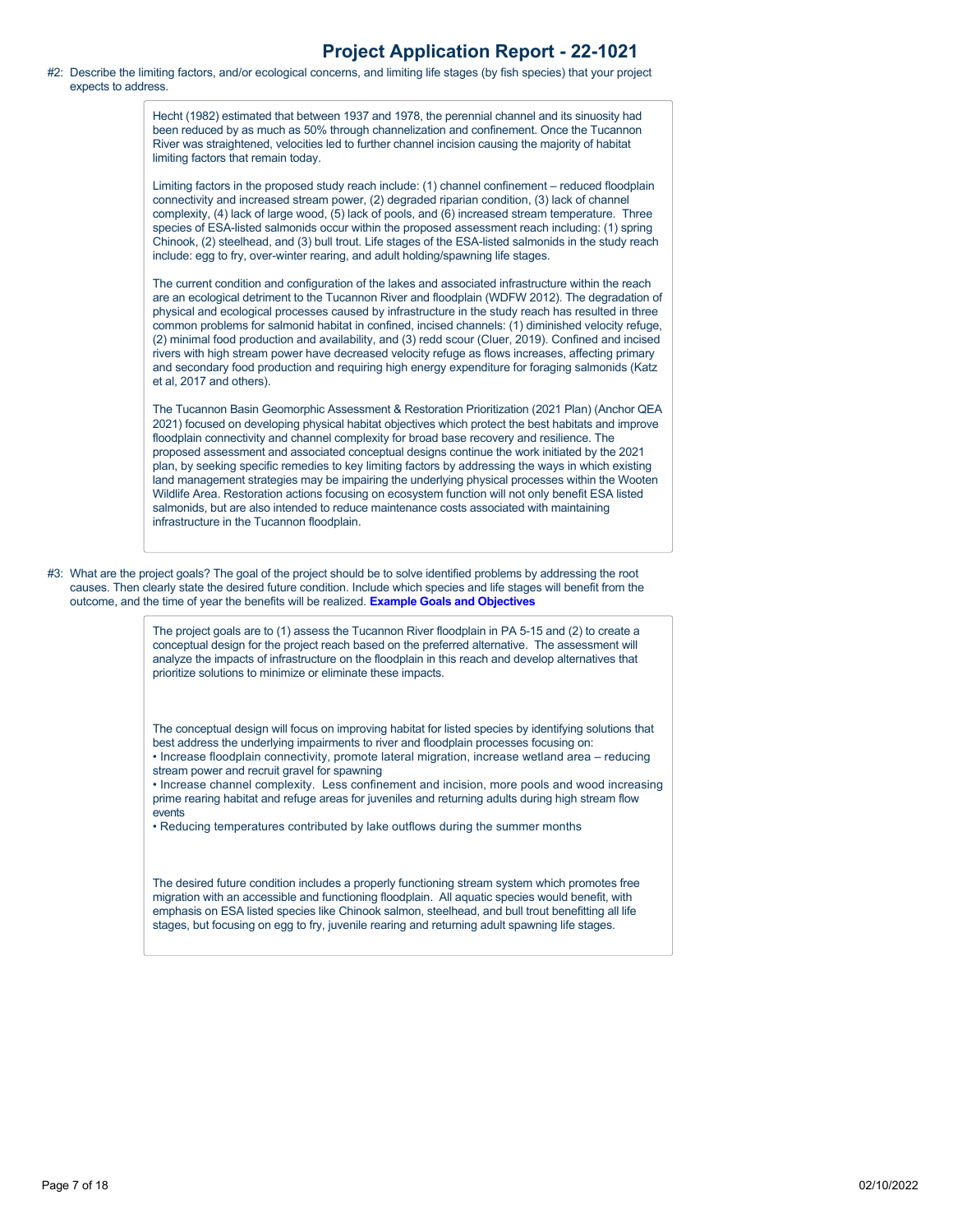#2: Describe the limiting factors, and/or ecological concerns, and limiting life stages (by fish species) that your project expects to address.

> Hecht (1982) estimated that between 1937 and 1978, the perennial channel and its sinuosity had been reduced by as much as 50% through channelization and confinement. Once the Tucannon River was straightened, velocities led to further channel incision causing the majority of habitat limiting factors that remain today.

Limiting factors in the proposed study reach include: (1) channel confinement – reduced floodplain connectivity and increased stream power, (2) degraded riparian condition, (3) lack of channel complexity, (4) lack of large wood, (5) lack of pools, and (6) increased stream temperature. Three species of ESA-listed salmonids occur within the proposed assessment reach including: (1) spring Chinook, (2) steelhead, and (3) bull trout. Life stages of the ESA-listed salmonids in the study reach include: egg to fry, over-winter rearing, and adult holding/spawning life stages.

The current condition and configuration of the lakes and associated infrastructure within the reach are an ecological detriment to the Tucannon River and floodplain (WDFW 2012). The degradation of physical and ecological processes caused by infrastructure in the study reach has resulted in three common problems for salmonid habitat in confined, incised channels: (1) diminished velocity refuge, (2) minimal food production and availability, and (3) redd scour (Cluer, 2019). Confined and incised rivers with high stream power have decreased velocity refuge as flows increases, affecting primary and secondary food production and requiring high energy expenditure for foraging salmonids (Katz et al, 2017 and others).

The Tucannon Basin Geomorphic Assessment & Restoration Prioritization (2021 Plan) (Anchor QEA 2021) focused on developing physical habitat objectives which protect the best habitats and improve floodplain connectivity and channel complexity for broad base recovery and resilience. The proposed assessment and associated conceptual designs continue the work initiated by the 2021 plan, by seeking specific remedies to key limiting factors by addressing the ways in which existing land management strategies may be impairing the underlying physical processes within the Wooten Wildlife Area. Restoration actions focusing on ecosystem function will not only benefit ESA listed salmonids, but are also intended to reduce maintenance costs associated with maintaining infrastructure in the Tucannon floodplain.

#3: What are the project goals? The goal of the project should be to solve identified problems by addressing the root causes. Then clearly state the desired future condition. Include which species and life stages will benefit from the outcome, and the time of year the benefits will be realized. **[Example Goals and Objectives](https://rco.wa.gov/wp-content/uploads/2020/02/SRFB-Goals-and-Objectives-Examples.docx)**

> The project goals are to (1) assess the Tucannon River floodplain in PA 5-15 and (2) to create a conceptual design for the project reach based on the preferred alternative. The assessment will analyze the impacts of infrastructure on the floodplain in this reach and develop alternatives that prioritize solutions to minimize or eliminate these impacts.

The conceptual design will focus on improving habitat for listed species by identifying solutions that best address the underlying impairments to river and floodplain processes focusing on: • Increase floodplain connectivity, promote lateral migration, increase wetland area – reducing

stream power and recruit gravel for spawning

• Increase channel complexity. Less confinement and incision, more pools and wood increasing prime rearing habitat and refuge areas for juveniles and returning adults during high stream flow events

• Reducing temperatures contributed by lake outflows during the summer months

The desired future condition includes a properly functioning stream system which promotes free migration with an accessible and functioning floodplain. All aquatic species would benefit, with emphasis on ESA listed species like Chinook salmon, steelhead, and bull trout benefitting all life stages, but focusing on egg to fry, juvenile rearing and returning adult spawning life stages.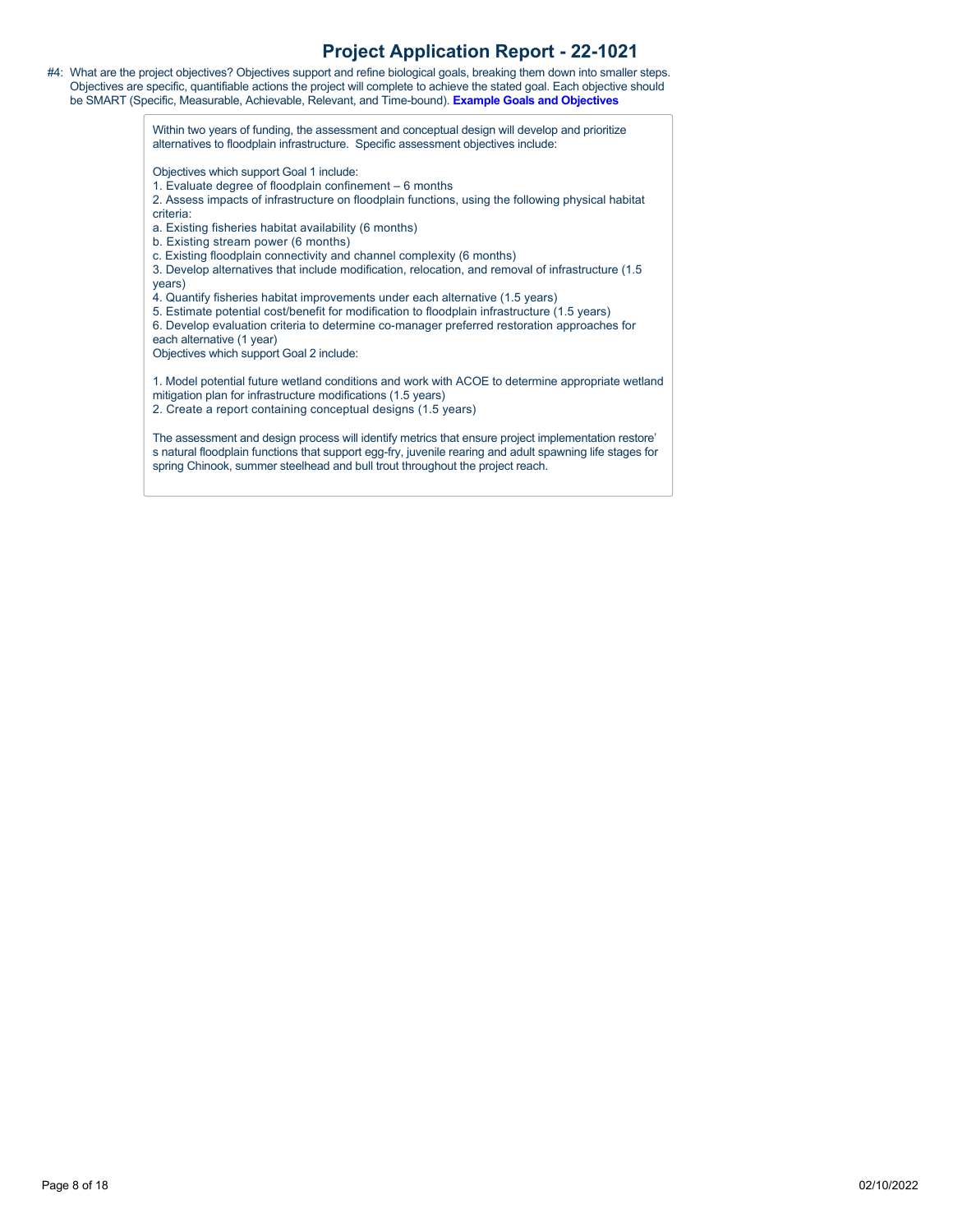#4: What are the project objectives? Objectives support and refine biological goals, breaking them down into smaller steps. Objectives are specific, quantifiable actions the project will complete to achieve the stated goal. Each objective should be SMART (Specific, Measurable, Achievable, Relevant, and Time-bound). **[Example Goals and Objectives](https://rco.wa.gov/wp-content/uploads/2020/02/SRFB-Goals-and-Objectives-Examples.docx)**

> Within two years of funding, the assessment and conceptual design will develop and prioritize alternatives to floodplain infrastructure. Specific assessment objectives include:

Objectives which support Goal 1 include:

- 1. Evaluate degree of floodplain confinement 6 months
- 2. Assess impacts of infrastructure on floodplain functions, using the following physical habitat criteria:
- a. Existing fisheries habitat availability (6 months)
- b. Existing stream power (6 months)
- c. Existing floodplain connectivity and channel complexity (6 months)
- 3. Develop alternatives that include modification, relocation, and removal of infrastructure (1.5 years)
- 4. Quantify fisheries habitat improvements under each alternative (1.5 years)
- 5. Estimate potential cost/benefit for modification to floodplain infrastructure (1.5 years)
- 6. Develop evaluation criteria to determine co-manager preferred restoration approaches for
- each alternative (1 year)

Objectives which support Goal 2 include:

1. Model potential future wetland conditions and work with ACOE to determine appropriate wetland mitigation plan for infrastructure modifications (1.5 years)

2. Create a report containing conceptual designs (1.5 years)

The assessment and design process will identify metrics that ensure project implementation restore' s natural floodplain functions that support egg-fry, juvenile rearing and adult spawning life stages for spring Chinook, summer steelhead and bull trout throughout the project reach.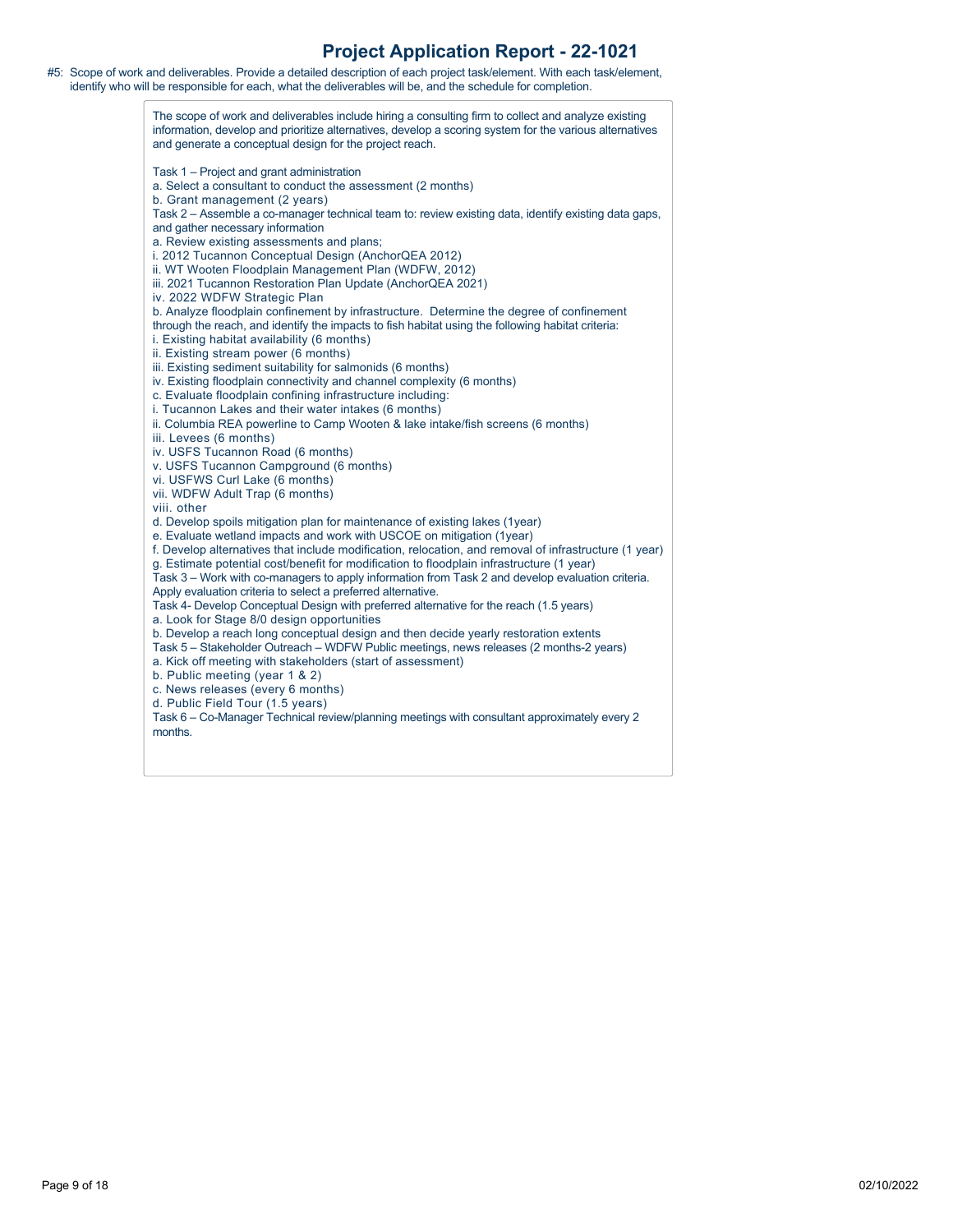#5: Scope of work and deliverables. Provide a detailed description of each project task/element. With each task/element, identify who will be responsible for each, what the deliverables will be, and the schedule for completion. The scope of work and deliverables include hiring a consulting firm to collect and analyze existing information, develop and prioritize alternatives, develop a scoring system for the various alternatives and generate a conceptual design for the project reach. Task 1 – Project and grant administration a. Select a consultant to conduct the assessment (2 months) b. Grant management (2 years) Task 2 – Assemble a co-manager technical team to: review existing data, identify existing data gaps, and gather necessary information a. Review existing assessments and plans; i. 2012 Tucannon Conceptual Design (AnchorQEA 2012) ii. WT Wooten Floodplain Management Plan (WDFW, 2012) iii. 2021 Tucannon Restoration Plan Update (AnchorQEA 2021) iv. 2022 WDFW Strategic Plan b. Analyze floodplain confinement by infrastructure. Determine the degree of confinement through the reach, and identify the impacts to fish habitat using the following habitat criteria: i. Existing habitat availability (6 months) ii. Existing stream power (6 months) iii. Existing sediment suitability for salmonids (6 months) iv. Existing floodplain connectivity and channel complexity (6 months) c. Evaluate floodplain confining infrastructure including: i. Tucannon Lakes and their water intakes (6 months) ii. Columbia REA powerline to Camp Wooten & lake intake/fish screens (6 months) iii. Levees (6 months) iv. USFS Tucannon Road (6 months) v. USFS Tucannon Campground (6 months) vi. USFWS Curl Lake (6 months) vii. WDFW Adult Trap (6 months) viii. other d. Develop spoils mitigation plan for maintenance of existing lakes (1year) e. Evaluate wetland impacts and work with USCOE on mitigation (1year) f. Develop alternatives that include modification, relocation, and removal of infrastructure (1 year) g. Estimate potential cost/benefit for modification to floodplain infrastructure (1 year) Task 3 – Work with co-managers to apply information from Task 2 and develop evaluation criteria. Apply evaluation criteria to select a preferred alternative. Task 4- Develop Conceptual Design with preferred alternative for the reach (1.5 years) a. Look for Stage 8/0 design opportunities b. Develop a reach long conceptual design and then decide yearly restoration extents Task 5 – Stakeholder Outreach – WDFW Public meetings, news releases (2 months-2 years) a. Kick off meeting with stakeholders (start of assessment) b. Public meeting (year 1 & 2) c. News releases (every 6 months) d. Public Field Tour (1.5 years) Task 6 – Co-Manager Technical review/planning meetings with consultant approximately every 2 months.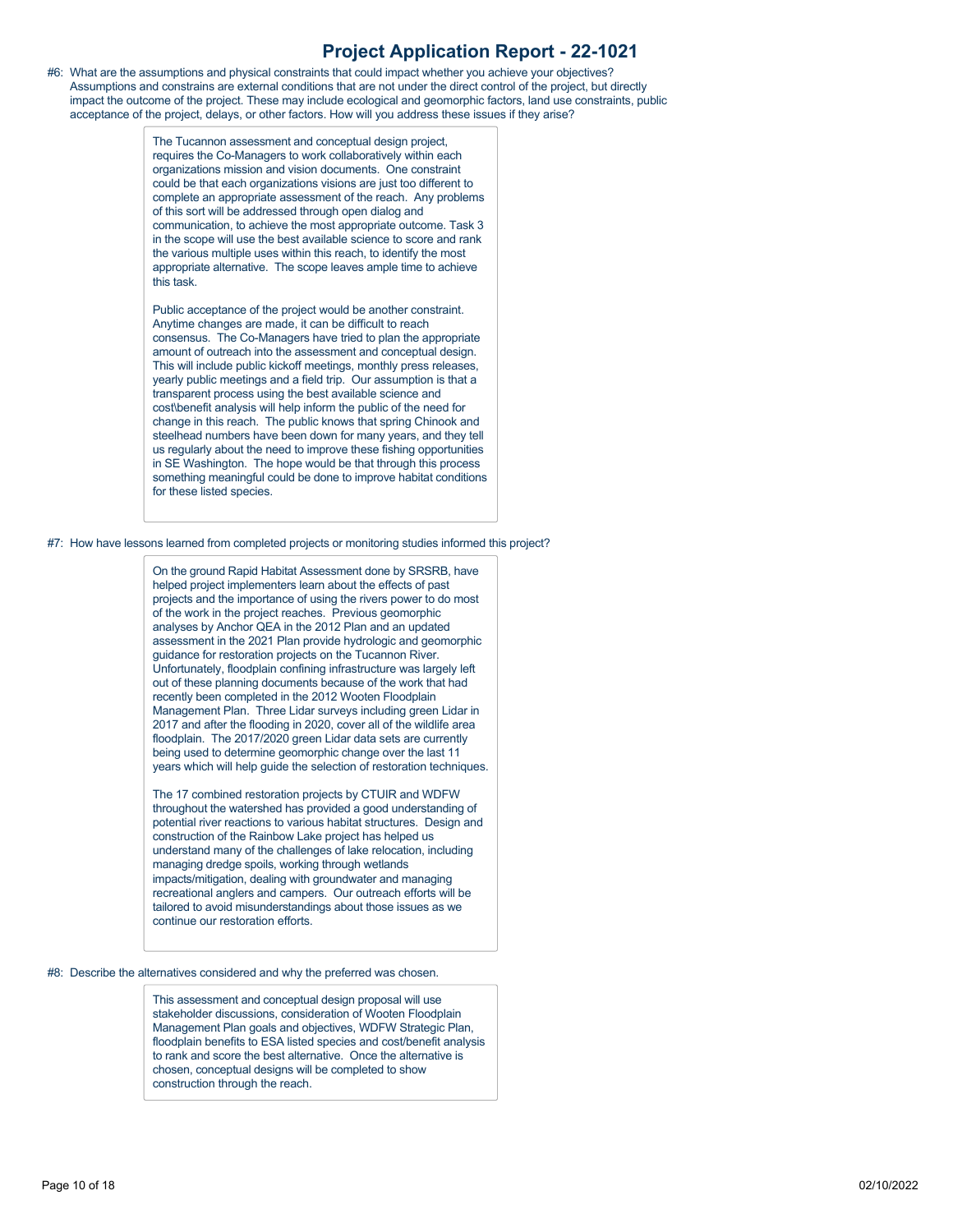#6: What are the assumptions and physical constraints that could impact whether you achieve your objectives? Assumptions and constrains are external conditions that are not under the direct control of the project, but directly impact the outcome of the project. These may include ecological and geomorphic factors, land use constraints, public acceptance of the project, delays, or other factors. How will you address these issues if they arise?

> The Tucannon assessment and conceptual design project, requires the Co-Managers to work collaboratively within each organizations mission and vision documents. One constraint could be that each organizations visions are just too different to complete an appropriate assessment of the reach. Any problems of this sort will be addressed through open dialog and communication, to achieve the most appropriate outcome. Task 3 in the scope will use the best available science to score and rank the various multiple uses within this reach, to identify the most appropriate alternative. The scope leaves ample time to achieve this task.

Public acceptance of the project would be another constraint. Anytime changes are made, it can be difficult to reach consensus. The Co-Managers have tried to plan the appropriate amount of outreach into the assessment and conceptual design. This will include public kickoff meetings, monthly press releases, yearly public meetings and a field trip. Our assumption is that a transparent process using the best available science and cost\benefit analysis will help inform the public of the need for change in this reach. The public knows that spring Chinook and steelhead numbers have been down for many years, and they tell us regularly about the need to improve these fishing opportunities in SE Washington. The hope would be that through this process something meaningful could be done to improve habitat conditions for these listed species.

#### #7: How have lessons learned from completed projects or monitoring studies informed this project?

On the ground Rapid Habitat Assessment done by SRSRB, have helped project implementers learn about the effects of past projects and the importance of using the rivers power to do most of the work in the project reaches. Previous geomorphic analyses by Anchor QEA in the 2012 Plan and an updated assessment in the 2021 Plan provide hydrologic and geomorphic guidance for restoration projects on the Tucannon River. Unfortunately, floodplain confining infrastructure was largely left out of these planning documents because of the work that had recently been completed in the 2012 Wooten Floodplain Management Plan. Three Lidar surveys including green Lidar in 2017 and after the flooding in 2020, cover all of the wildlife area floodplain. The 2017/2020 green Lidar data sets are currently being used to determine geomorphic change over the last 11 years which will help guide the selection of restoration techniques.

The 17 combined restoration projects by CTUIR and WDFW throughout the watershed has provided a good understanding of potential river reactions to various habitat structures. Design and construction of the Rainbow Lake project has helped us understand many of the challenges of lake relocation, including managing dredge spoils, working through wetlands impacts/mitigation, dealing with groundwater and managing recreational anglers and campers. Our outreach efforts will be tailored to avoid misunderstandings about those issues as we continue our restoration efforts.

#### #8: Describe the alternatives considered and why the preferred was chosen.

This assessment and conceptual design proposal will use stakeholder discussions, consideration of Wooten Floodplain Management Plan goals and objectives, WDFW Strategic Plan, floodplain benefits to ESA listed species and cost/benefit analysis to rank and score the best alternative. Once the alternative is chosen, conceptual designs will be completed to show construction through the reach.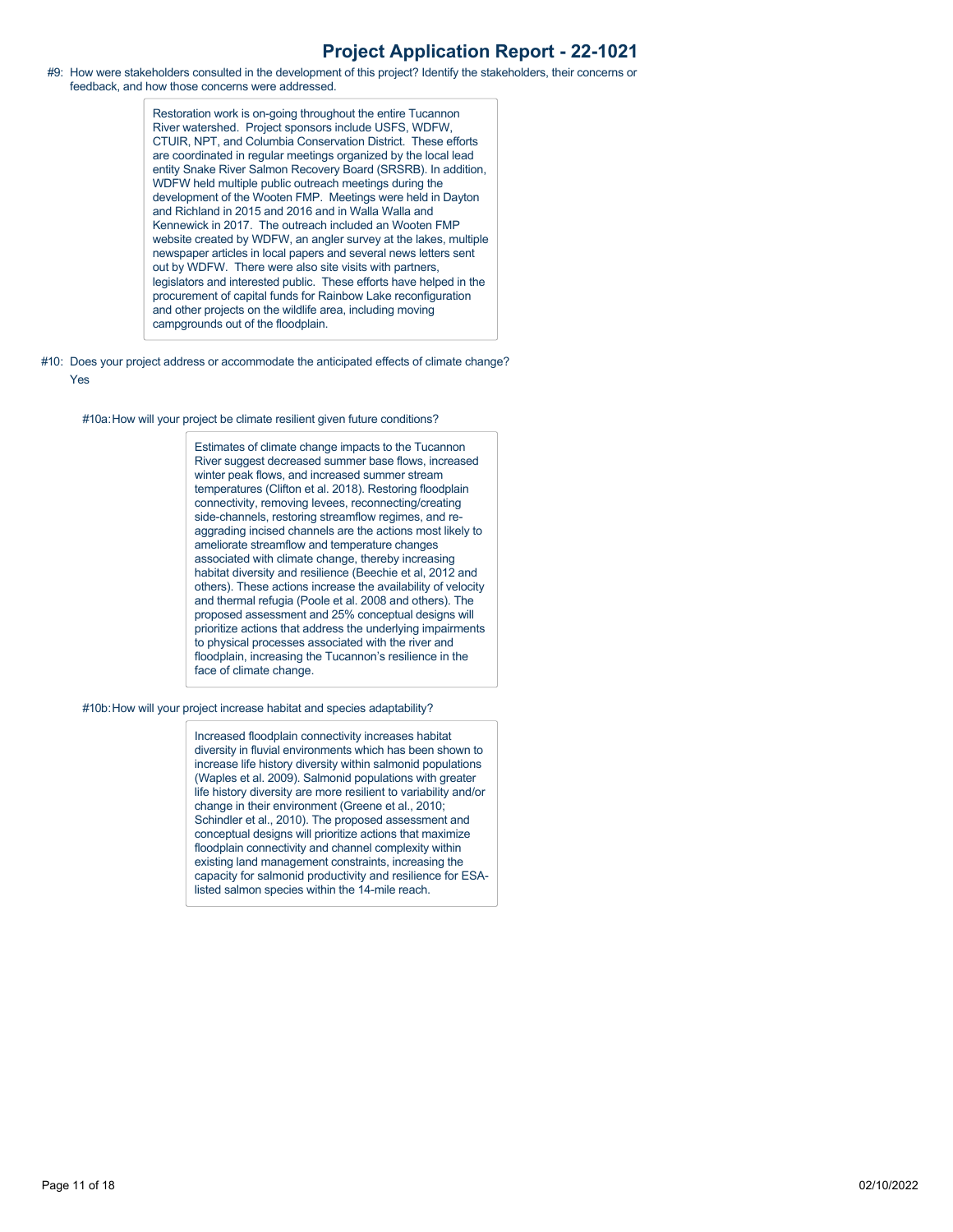#9: How were stakeholders consulted in the development of this project? Identify the stakeholders, their concerns or feedback, and how those concerns were addressed.

> Restoration work is on-going throughout the entire Tucannon River watershed. Project sponsors include USFS, WDFW, CTUIR, NPT, and Columbia Conservation District. These efforts are coordinated in regular meetings organized by the local lead entity Snake River Salmon Recovery Board (SRSRB). In addition, WDFW held multiple public outreach meetings during the development of the Wooten FMP. Meetings were held in Dayton and Richland in 2015 and 2016 and in Walla Walla and Kennewick in 2017. The outreach included an Wooten FMP website created by WDFW, an angler survey at the lakes, multiple newspaper articles in local papers and several news letters sent out by WDFW. There were also site visits with partners, legislators and interested public. These efforts have helped in the procurement of capital funds for Rainbow Lake reconfiguration and other projects on the wildlife area, including moving campgrounds out of the floodplain.

#10: Does your project address or accommodate the anticipated effects of climate change? Yes

#10a:How will your project be climate resilient given future conditions?

Estimates of climate change impacts to the Tucannon River suggest decreased summer base flows, increased winter peak flows, and increased summer stream temperatures (Clifton et al. 2018). Restoring floodplain connectivity, removing levees, reconnecting/creating side-channels, restoring streamflow regimes, and reaggrading incised channels are the actions most likely to ameliorate streamflow and temperature changes associated with climate change, thereby increasing habitat diversity and resilience (Beechie et al, 2012 and others). These actions increase the availability of velocity and thermal refugia (Poole et al. 2008 and others). The proposed assessment and 25% conceptual designs will prioritize actions that address the underlying impairments to physical processes associated with the river and floodplain, increasing the Tucannon's resilience in the face of climate change.

#10b:How will your project increase habitat and species adaptability?

Increased floodplain connectivity increases habitat diversity in fluvial environments which has been shown to increase life history diversity within salmonid populations (Waples et al. 2009). Salmonid populations with greater life history diversity are more resilient to variability and/or change in their environment (Greene et al., 2010; Schindler et al., 2010). The proposed assessment and conceptual designs will prioritize actions that maximize floodplain connectivity and channel complexity within existing land management constraints, increasing the capacity for salmonid productivity and resilience for ESAlisted salmon species within the 14-mile reach.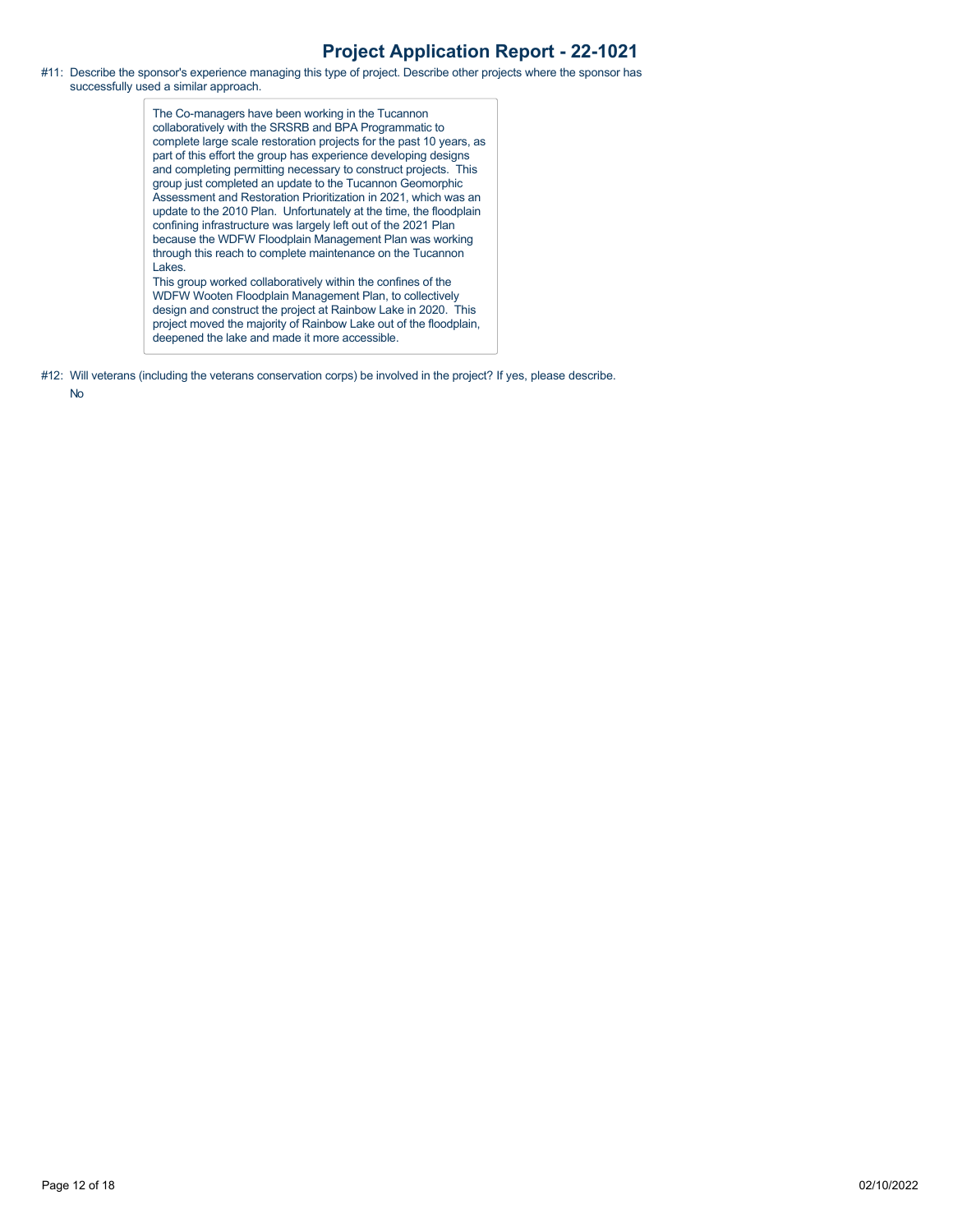#11: Describe the sponsor's experience managing this type of project. Describe other projects where the sponsor has successfully used a similar approach.

> The Co-managers have been working in the Tucannon collaboratively with the SRSRB and BPA Programmatic to complete large scale restoration projects for the past 10 years, as part of this effort the group has experience developing designs and completing permitting necessary to construct projects. This group just completed an update to the Tucannon Geomorphic Assessment and Restoration Prioritization in 2021, which was an update to the 2010 Plan. Unfortunately at the time, the floodplain confining infrastructure was largely left out of the 2021 Plan because the WDFW Floodplain Management Plan was working through this reach to complete maintenance on the Tucannon Lakes. This group worked collaboratively within the confines of the WDFW Wooten Floodplain Management Plan, to collectively design and construct the project at Rainbow Lake in 2020. This project moved the majority of Rainbow Lake out of the floodplain,

#12: Will veterans (including the veterans conservation corps) be involved in the project? If yes, please describe.

deepened the lake and made it more accessible.

No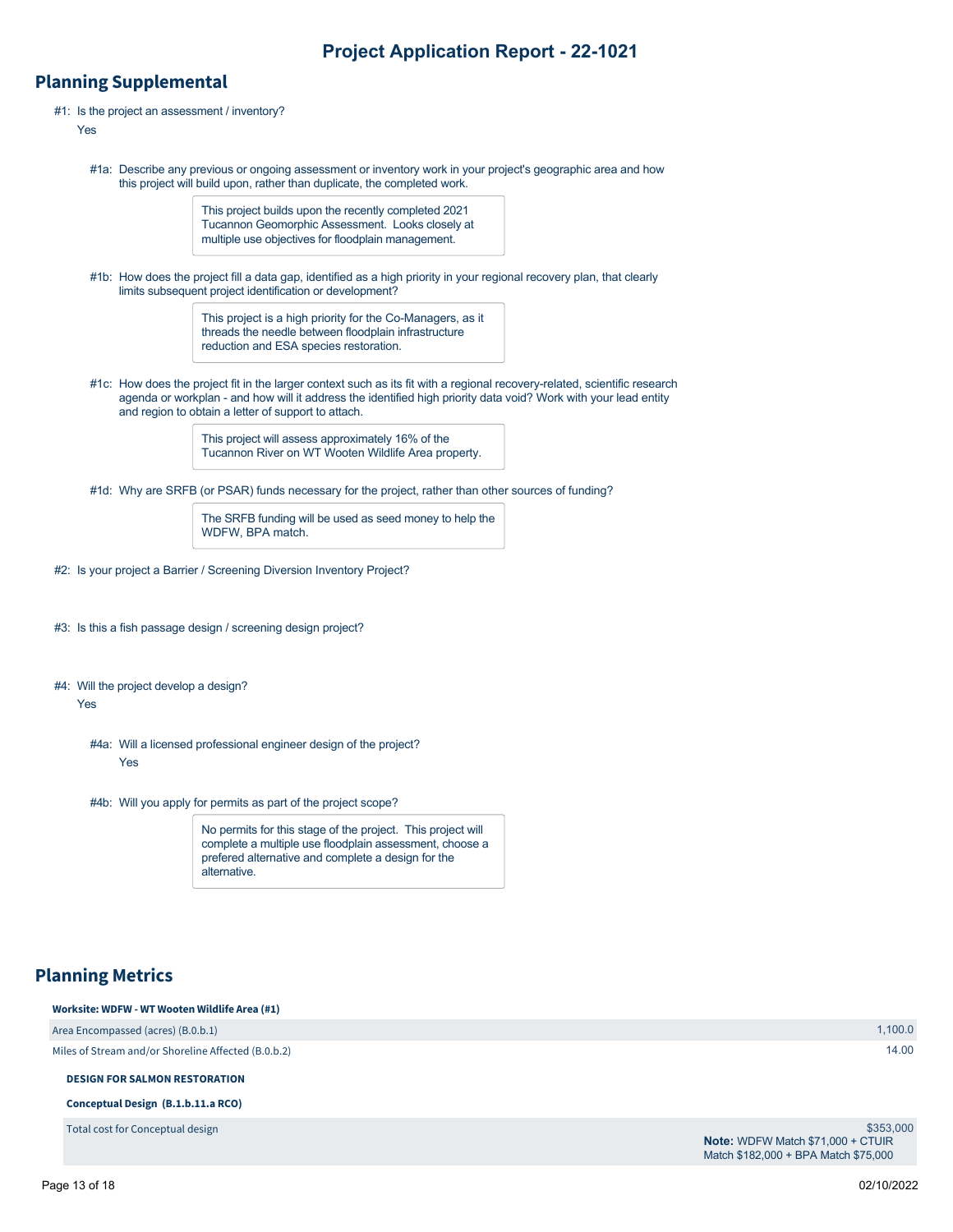### **Planning Supplemental**

#1: Is the project an assessment / inventory?

Yes

#1a: Describe any previous or ongoing assessment or inventory work in your project's geographic area and how this project will build upon, rather than duplicate, the completed work.

> This project builds upon the recently completed 2021 Tucannon Geomorphic Assessment. Looks closely at multiple use objectives for floodplain management.

#1b: How does the project fill a data gap, identified as a high priority in your regional recovery plan, that clearly limits subsequent project identification or development?

> This project is a high priority for the Co-Managers, as it threads the needle between floodplain infrastructure reduction and ESA species restoration.

#1c: How does the project fit in the larger context such as its fit with a regional recovery-related, scientific research agenda or workplan - and how will it address the identified high priority data void? Work with your lead entity and region to obtain a letter of support to attach.

> This project will assess approximately 16% of the Tucannon River on WT Wooten Wildlife Area property.

#1d: Why are SRFB (or PSAR) funds necessary for the project, rather than other sources of funding?

The SRFB funding will be used as seed money to help the WDFW, BPA match.

- #2: Is your project a Barrier / Screening Diversion Inventory Project?
- #3: Is this a fish passage design / screening design project?
- #4: Will the project develop a design?

Yes

#4a: Will a licensed professional engineer design of the project? Yes

#4b: Will you apply for permits as part of the project scope?

No permits for this stage of the project. This project will complete a multiple use floodplain assessment, choose a prefered alternative and complete a design for the alternative.

### **Planning Metrics**

| Worksite: WDFW - WT Wooten Wildlife Area (#1)       |         |
|-----------------------------------------------------|---------|
| Area Encompassed (acres) (B.0.b.1)                  | 1,100.0 |
| Miles of Stream and/or Shoreline Affected (B.0.b.2) | 14.00   |
| <b>DESIGN FOR SALMON RESTORATION</b>                |         |
| Conceptual Design (B.1.b.11.a RCO)                  |         |

Total cost for Conceptual design

\$353,000 **Note:** WDFW Match \$71,000 + CTUIR Match \$182,000 + BPA Match \$75,000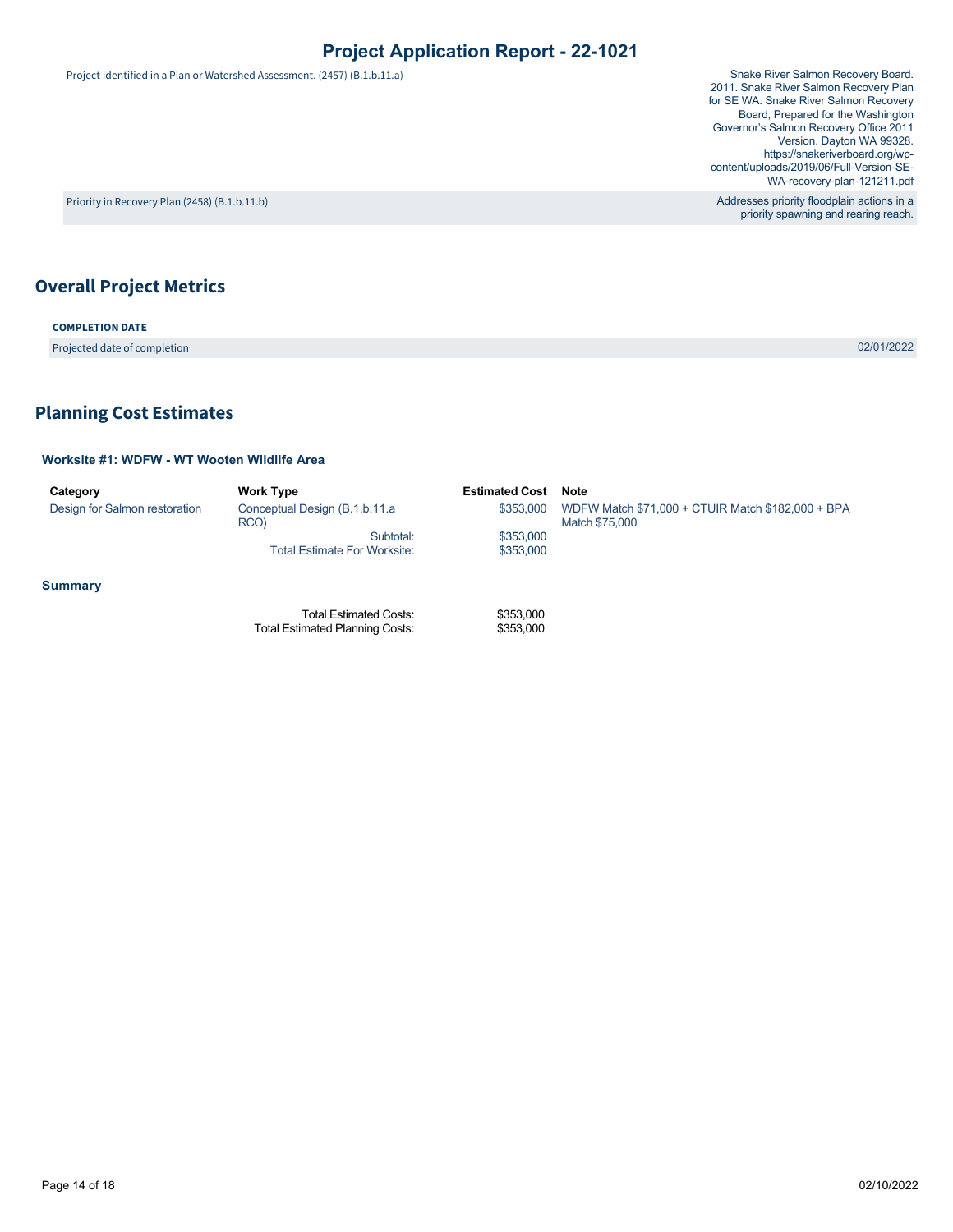Project Identified in a Plan or Watershed Assessment. (2457) (B.1.b.11.a)

Snake River Salmon Recovery Board. 2011. Snake River Salmon Recovery Plan for SE WA. Snake River Salmon Recovery Board, Prepared for the Washington Governor's Salmon Recovery Office 2011 Version. Dayton WA 99328. https://snakeriverboard.org/wpcontent/uploads/2019/06/Full-Version-SE-WA-recovery-plan-121211.pdf

Addresses priority floodplain actions in a priority spawning and rearing reach.

Priority in Recovery Plan (2458) (B.1.b.11.b)

# **Overall Project Metrics**

### **COMPLETION DATE**

Projected date of completion 02/01/2022

# <span id="page-13-0"></span>**Planning Cost Estimates**

#### **Worksite #1: WDFW - WT Wooten Wildlife Area**

| Category                      | <b>Work Type</b>                       | <b>Estimated Cost</b> | <b>Note</b>                                                         |
|-------------------------------|----------------------------------------|-----------------------|---------------------------------------------------------------------|
| Design for Salmon restoration | Conceptual Design (B.1.b.11.a)<br>RCO) | \$353,000             | WDFW Match \$71,000 + CTUIR Match \$182,000 + BPA<br>Match \$75,000 |
|                               | Subtotal:                              | \$353,000             |                                                                     |
|                               | <b>Total Estimate For Worksite:</b>    | \$353,000             |                                                                     |
| <b>Summary</b>                |                                        |                       |                                                                     |
|                               | <b>Total Estimated Costs:</b>          | \$353,000             |                                                                     |
|                               | Total Estimated Planning Costs:        | \$353,000             |                                                                     |
|                               |                                        |                       |                                                                     |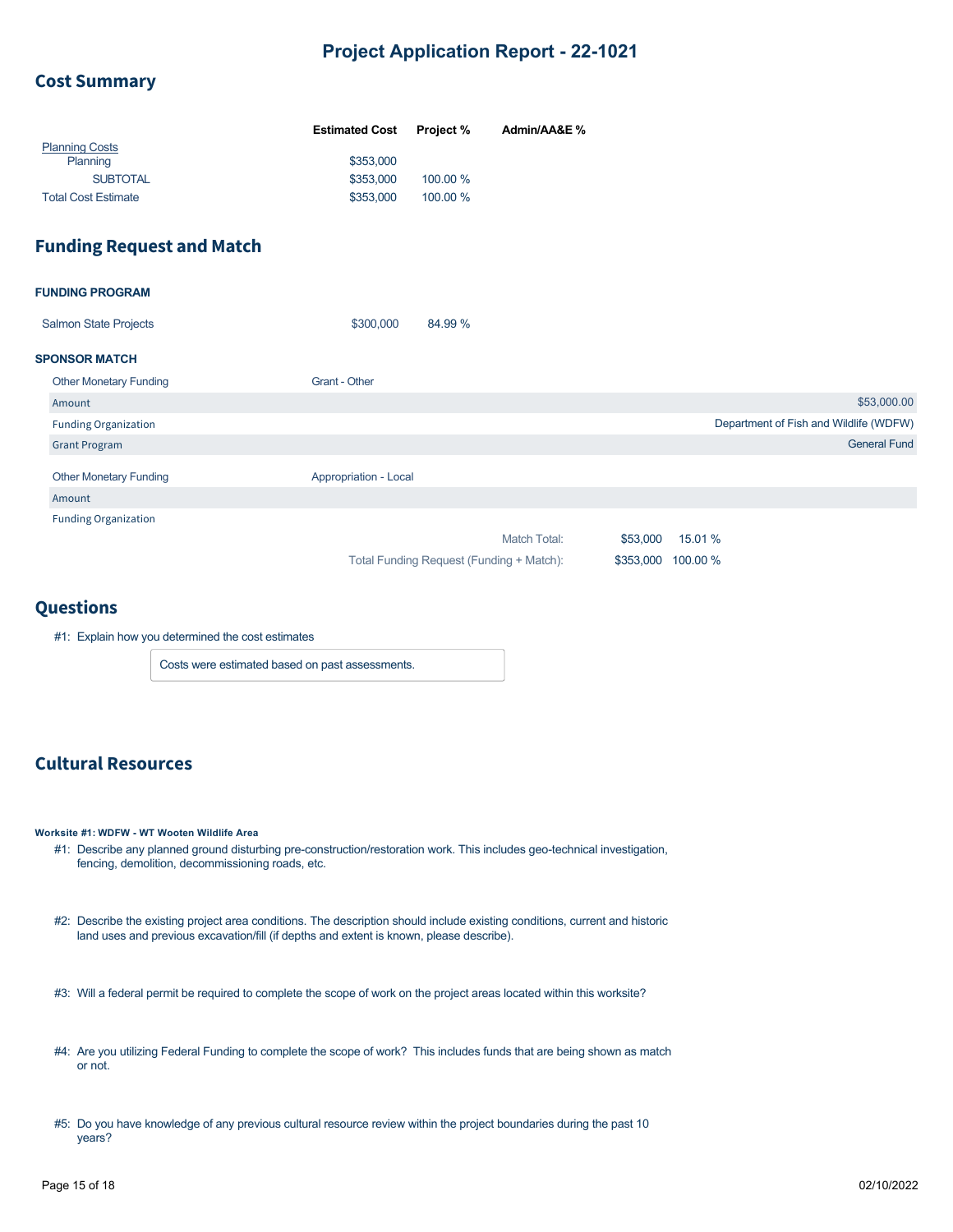### **Cost Summary**

|                            | <b>Estimated Cost</b> | Proiect % | Admin/AA&E % |
|----------------------------|-----------------------|-----------|--------------|
| <b>Planning Costs</b>      |                       |           |              |
| Planning                   | \$353,000             |           |              |
| <b>SUBTOTAL</b>            | \$353,000             | 100.00 %  |              |
| <b>Total Cost Estimate</b> | \$353,000             | 100.00 %  |              |

### **Funding Request and Match**

| <b>FUNDING PROGRAM</b>        |                                          |                                        |
|-------------------------------|------------------------------------------|----------------------------------------|
| <b>Salmon State Projects</b>  | \$300,000<br>84.99 %                     |                                        |
| <b>SPONSOR MATCH</b>          |                                          |                                        |
| <b>Other Monetary Funding</b> | Grant - Other                            |                                        |
| Amount                        |                                          | \$53,000.00                            |
| <b>Funding Organization</b>   |                                          | Department of Fish and Wildlife (WDFW) |
| <b>Grant Program</b>          |                                          | <b>General Fund</b>                    |
| <b>Other Monetary Funding</b> | Appropriation - Local                    |                                        |
| Amount                        |                                          |                                        |
| <b>Funding Organization</b>   |                                          |                                        |
|                               | Match Total:                             | 15.01 %<br>\$53,000                    |
|                               | Total Funding Request (Funding + Match): | \$353,000 100.00 %                     |

### **Questions**

#1: Explain how you determined the cost estimates

Costs were estimated based on past assessments.

# **Cultural Resources**

**Worksite #1: WDFW - WT Wooten Wildlife Area**

- #1: Describe any planned ground disturbing pre-construction/restoration work. This includes geo-technical investigation, fencing, demolition, decommissioning roads, etc.
- #2: Describe the existing project area conditions. The description should include existing conditions, current and historic land uses and previous excavation/fill (if depths and extent is known, please describe).
- #3: Will a federal permit be required to complete the scope of work on the project areas located within this worksite?
- #4: Are you utilizing Federal Funding to complete the scope of work? This includes funds that are being shown as match or not.
- #5: Do you have knowledge of any previous cultural resource review within the project boundaries during the past 10 years?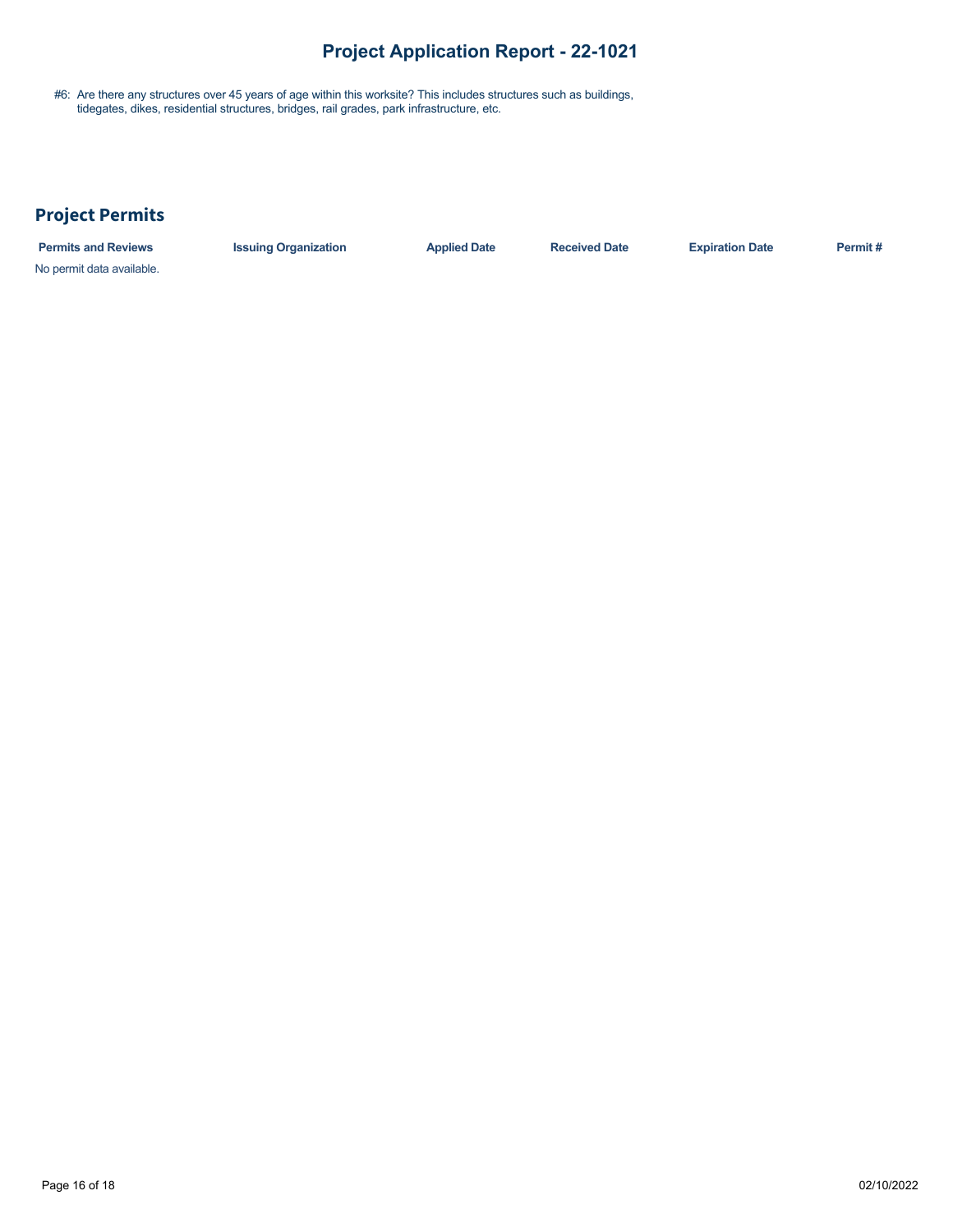#6: Are there any structures over 45 years of age within this worksite? This includes structures such as buildings, tidegates, dikes, residential structures, bridges, rail grades, park infrastructure, etc.

# **Project Permits**

**Permits and Reviews Issuing Organization Applied Date Received Date Expiration Date Permit #**

No permit data available.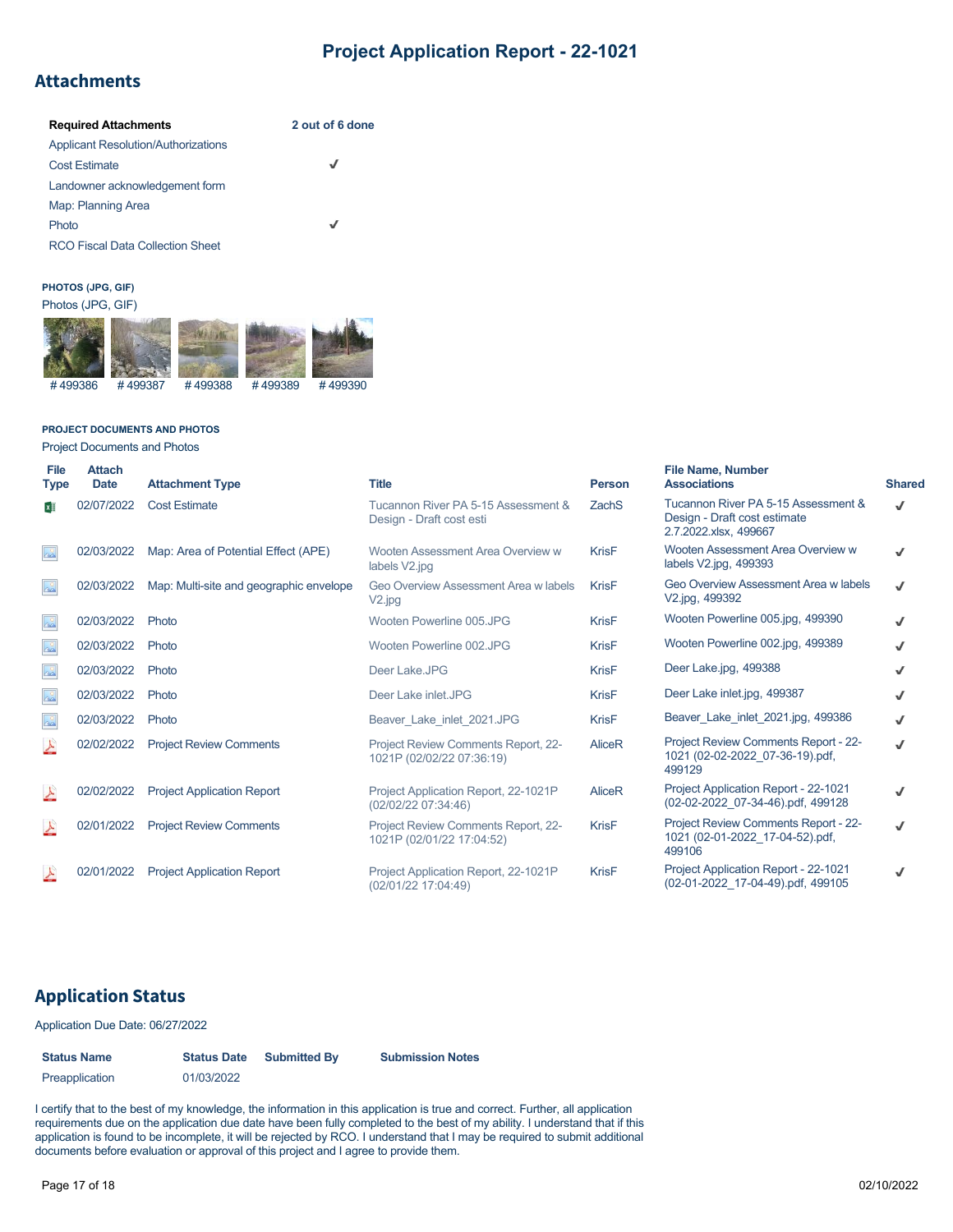## **Attachments**

| <b>Required Attachments</b>                | 2 out of 6 done |
|--------------------------------------------|-----------------|
| <b>Applicant Resolution/Authorizations</b> |                 |
| Cost Estimate                              | J               |
| Landowner acknowledgement form             |                 |
| Map: Planning Area                         |                 |
| Photo                                      | J               |
| RCO Fiscal Data Collection Sheet           |                 |

### **PHOTOS (JPG, GIF)**



### **PROJECT DOCUMENTS AND PHOTOS**

Project Documents and Photos

| <b>File</b><br><b>Type</b> | <b>Attach</b><br><b>Date</b> | <b>Attachment Type</b>                  | <b>Title</b>                                                     | <b>Person</b> | <b>File Name, Number</b><br><b>Associations</b>                                              | <b>Shared</b> |
|----------------------------|------------------------------|-----------------------------------------|------------------------------------------------------------------|---------------|----------------------------------------------------------------------------------------------|---------------|
| x H                        | 02/07/2022                   | <b>Cost Estimate</b>                    | Tucannon River PA 5-15 Assessment &<br>Design - Draft cost esti  | ZachS         | Tucannon River PA 5-15 Assessment &<br>Design - Draft cost estimate<br>2.7.2022.xlsx, 499667 | J             |
| $\frac{1}{2}$              | 02/03/2022                   | Map: Area of Potential Effect (APE)     | Wooten Assessment Area Overview w<br>labels V2.jpg               | <b>KrisF</b>  | Wooten Assessment Area Overview w<br>labels V2.jpg, 499393                                   |               |
| $\frac{1}{\sqrt{2}}$       | 02/03/2022                   | Map: Multi-site and geographic envelope | Geo Overview Assessment Area w labels<br>V <sub>2.jpg</sub>      | <b>KrisF</b>  | Geo Overview Assessment Area w labels<br>V2.jpg, 499392                                      | J             |
| $\frac{1}{\sqrt{2}}$       | 02/03/2022                   | Photo                                   | Wooten Powerline 005.JPG                                         | <b>KrisF</b>  | Wooten Powerline 005.jpg, 499390                                                             |               |
| $\frac{1}{2}$              | 02/03/2022                   | Photo                                   | Wooten Powerline 002.JPG                                         | <b>KrisF</b>  | Wooten Powerline 002.jpg, 499389                                                             |               |
| $\frac{1}{20}$             | 02/03/2022                   | Photo                                   | Deer Lake, JPG                                                   | <b>KrisF</b>  | Deer Lake.jpg, 499388                                                                        |               |
| $\frac{\sqrt{2}}{2}$       | 02/03/2022                   | Photo                                   | Deer Lake inlet.JPG                                              | <b>KrisF</b>  | Deer Lake inlet.jpg, 499387                                                                  |               |
| $\frac{1}{2}$              | 02/03/2022                   | Photo                                   | Beaver Lake inlet 2021.JPG                                       | <b>KrisF</b>  | Beaver Lake inlet 2021.jpg, 499386                                                           |               |
| $\lambda$                  | 02/02/2022                   | <b>Project Review Comments</b>          | Project Review Comments Report, 22-<br>1021P (02/02/22 07:36:19) | <b>AliceR</b> | Project Review Comments Report - 22-<br>1021 (02-02-2022_07-36-19).pdf,<br>499129            | J             |
| $\lambda$                  | 02/02/2022                   | <b>Project Application Report</b>       | Project Application Report, 22-1021P<br>(02/02/22 07:34:46)      | <b>AliceR</b> | Project Application Report - 22-1021<br>(02-02-2022 07-34-46).pdf, 499128                    |               |
|                            | 02/01/2022                   | <b>Project Review Comments</b>          | Project Review Comments Report, 22-<br>1021P (02/01/22 17:04:52) | <b>KrisF</b>  | Project Review Comments Report - 22-<br>1021 (02-01-2022_17-04-52).pdf,<br>499106            | √             |
|                            | 02/01/2022                   | <b>Project Application Report</b>       | Project Application Report, 22-1021P<br>(02/01/22 17:04:49)      | <b>KrisF</b>  | <b>Project Application Report - 22-1021</b><br>(02-01-2022 17-04-49).pdf, 499105             |               |

### **Application Status**

#### Application Due Date: 06/27/2022

| <b>Status Name</b> | <b>Status Date</b> | <b>Submitted By</b> | <b>Submission Notes</b> |
|--------------------|--------------------|---------------------|-------------------------|
| Preapplication     | 01/03/2022         |                     |                         |

I certify that to the best of my knowledge, the information in this application is true and correct. Further, all application requirements due on the application due date have been fully completed to the best of my ability. I understand that if this application is found to be incomplete, it will be rejected by RCO. I understand that I may be required to submit additional documents before evaluation or approval of this project and I agree to provide them.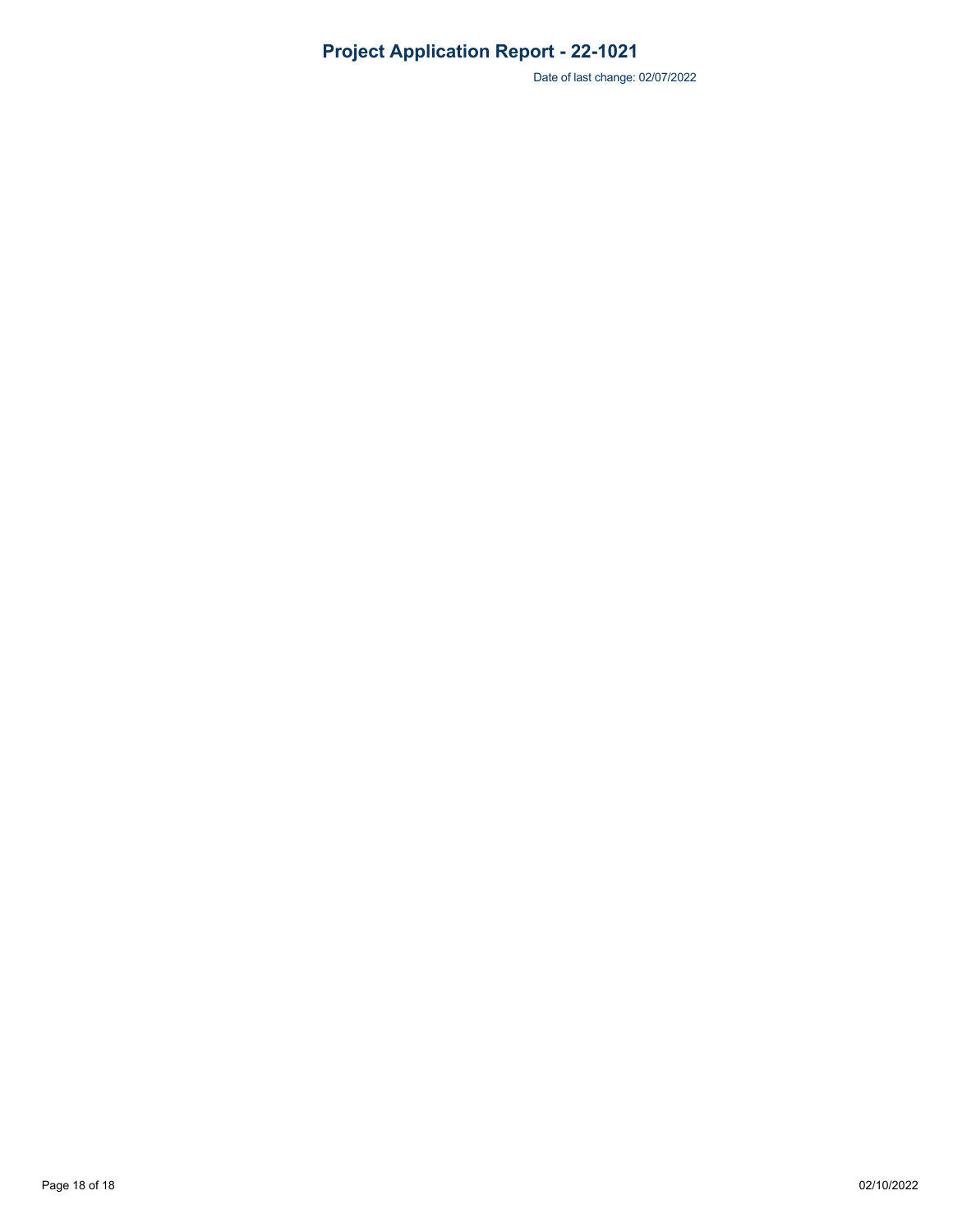Date of last change: 02/07/2022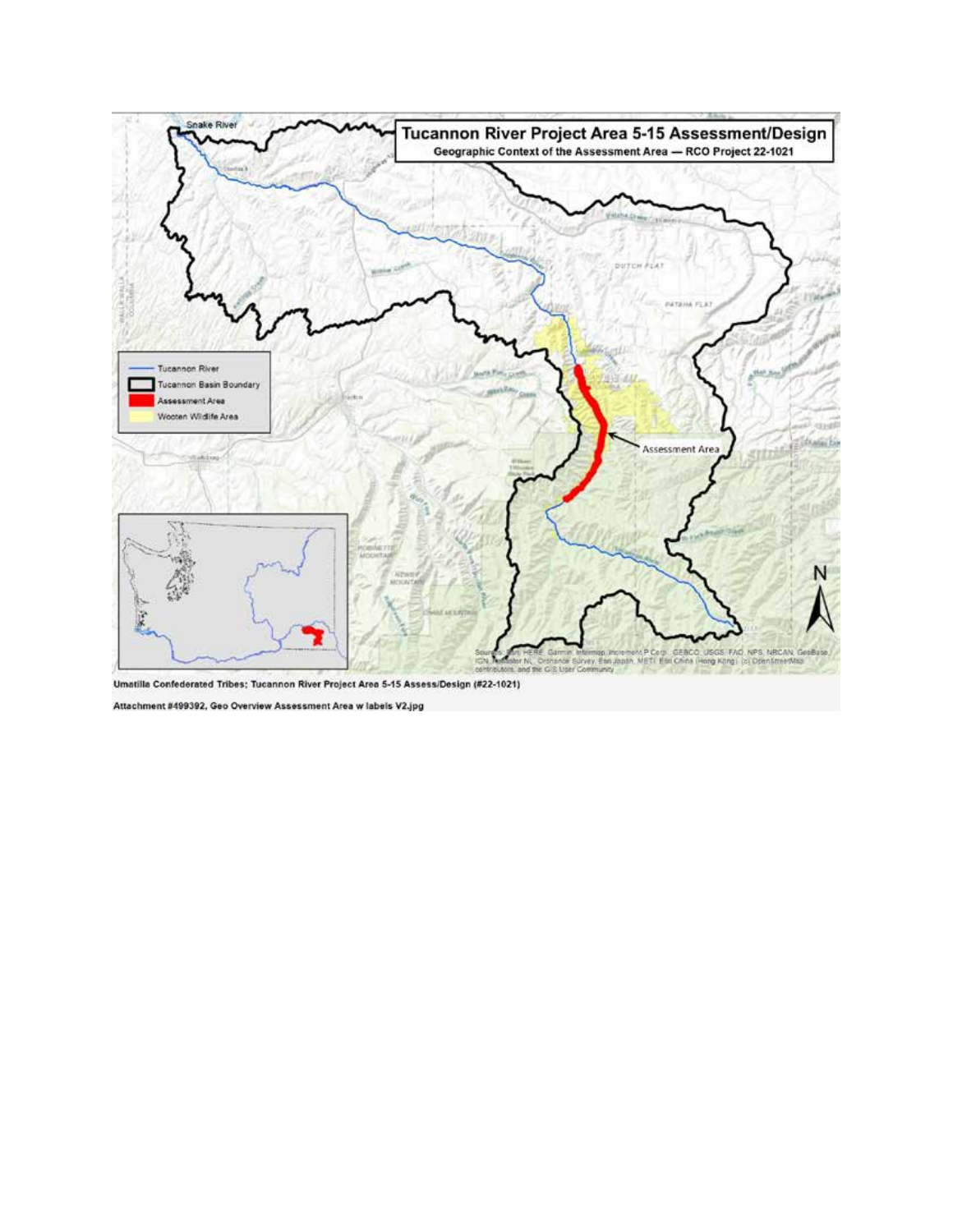

Umatilla Confederated Tribes; Tucannon River Project Area 5-15 Assess/Design (#22-1021)

Attachment #499392, Geo Overview Assessment Area w labels V2.jpg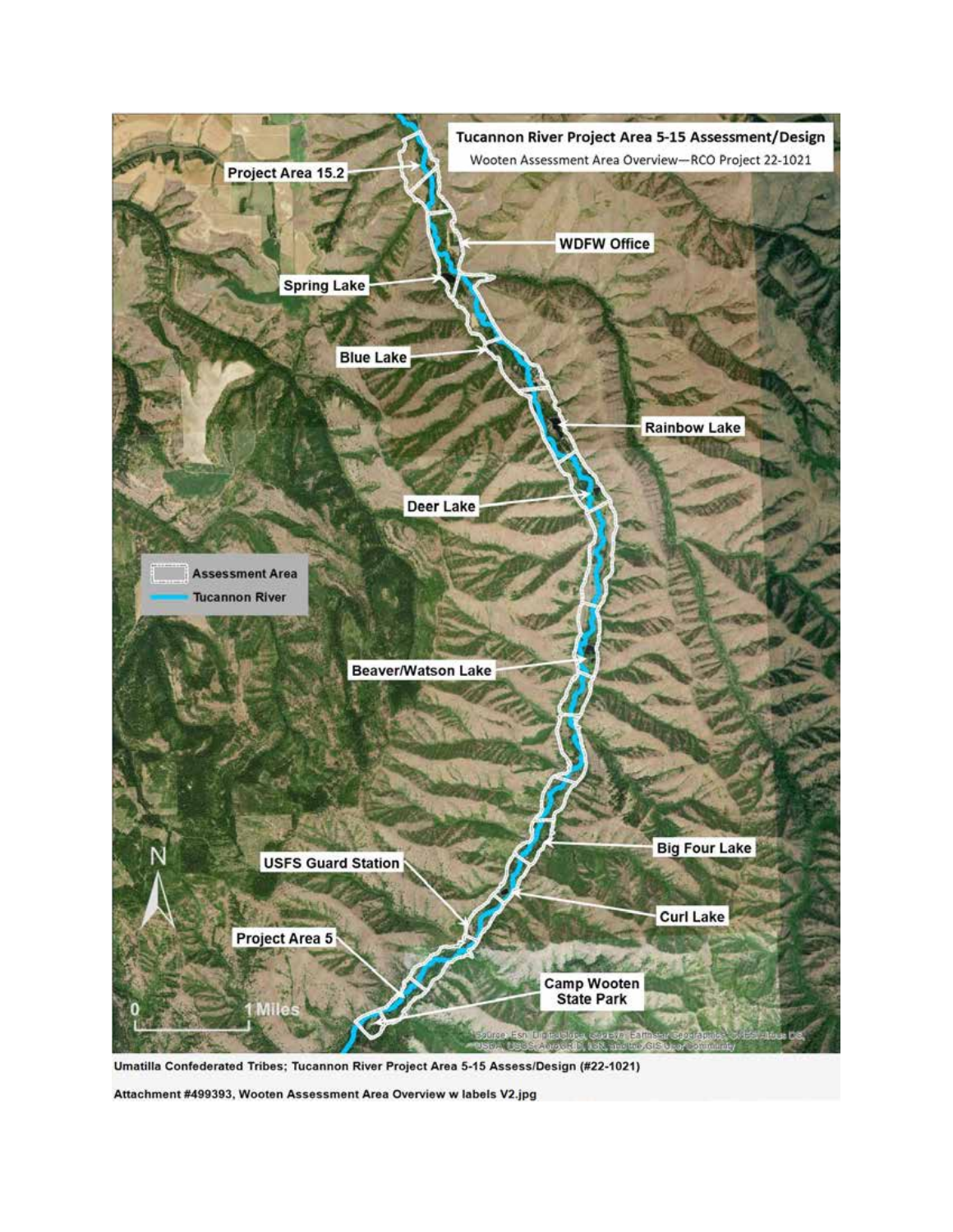

Umatilla Confederated Tribes; Tucannon River Project Area 5-15 Assess/Design (#22-1021)

Attachment #499393, Wooten Assessment Area Overview w labels V2.jpg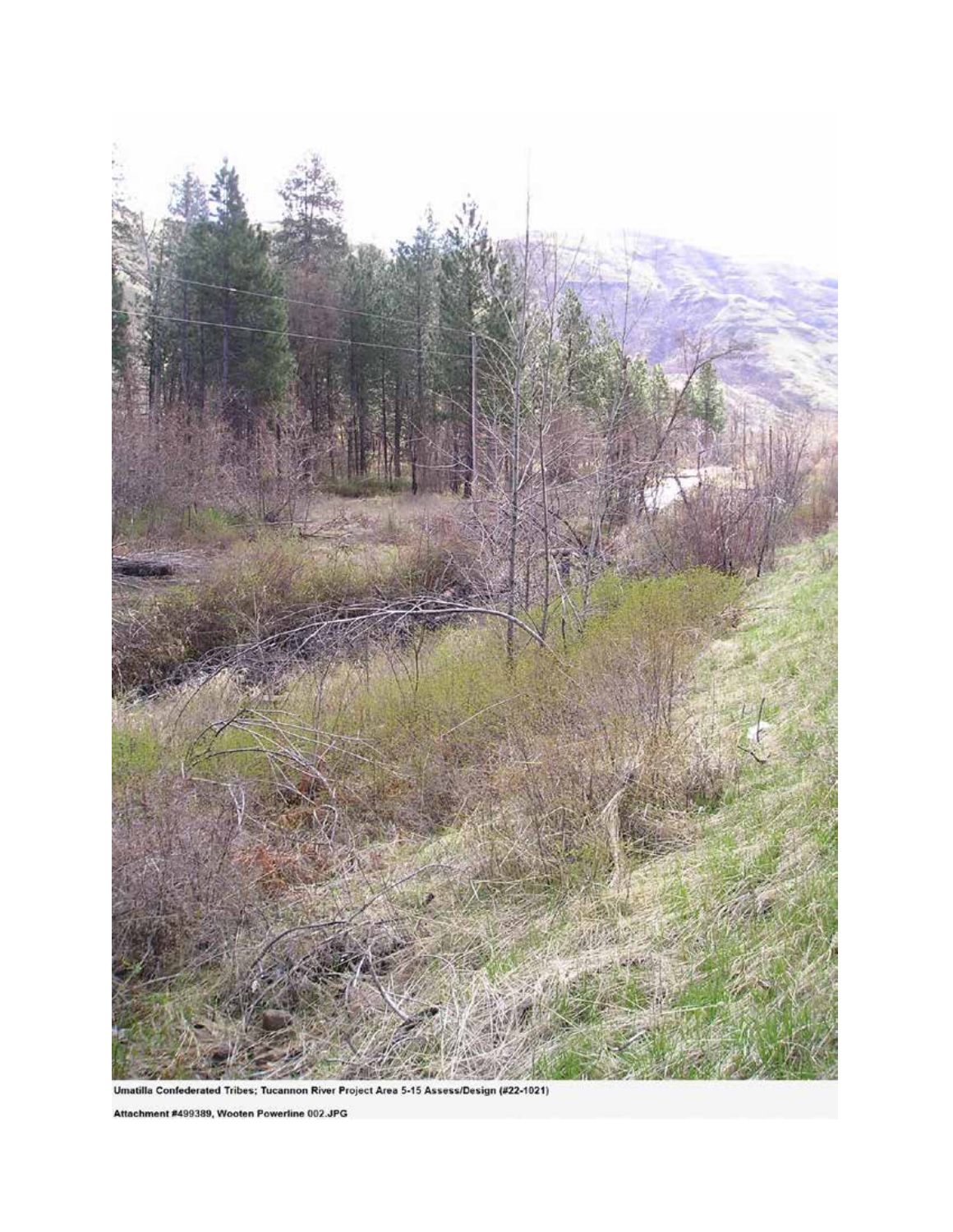

Umatilla Confederated Tribes; Tucannon River Project Area 5-15 Assess/Design (#22-1021)

Attachment #499389, Wooten Powerline 002.JPG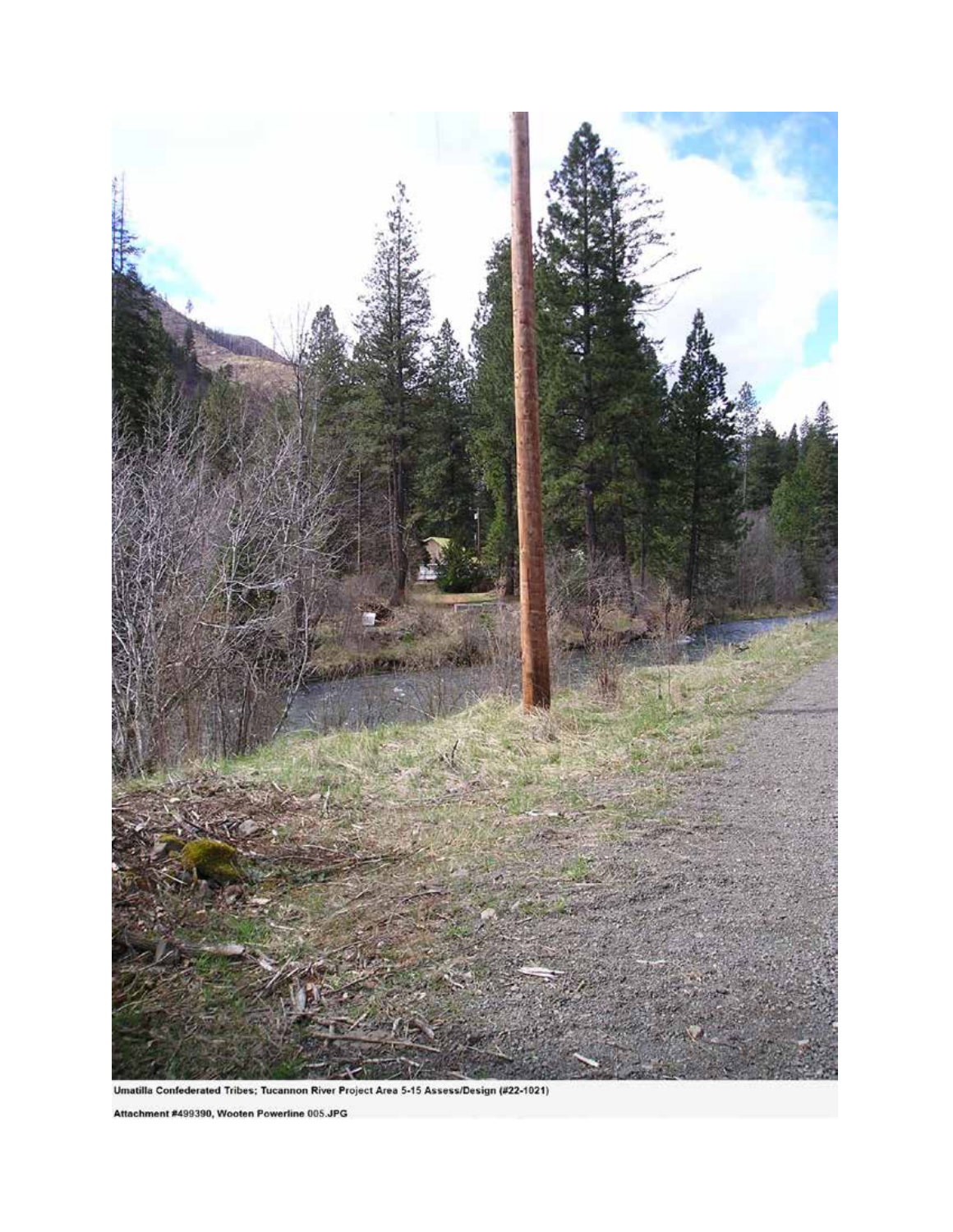

Umatilla Confederated Tribes; Tucannon River Project Area 5-15 Assess/Design (#22-1021)

Attachment #499390, Wooten Powerline 005.JPG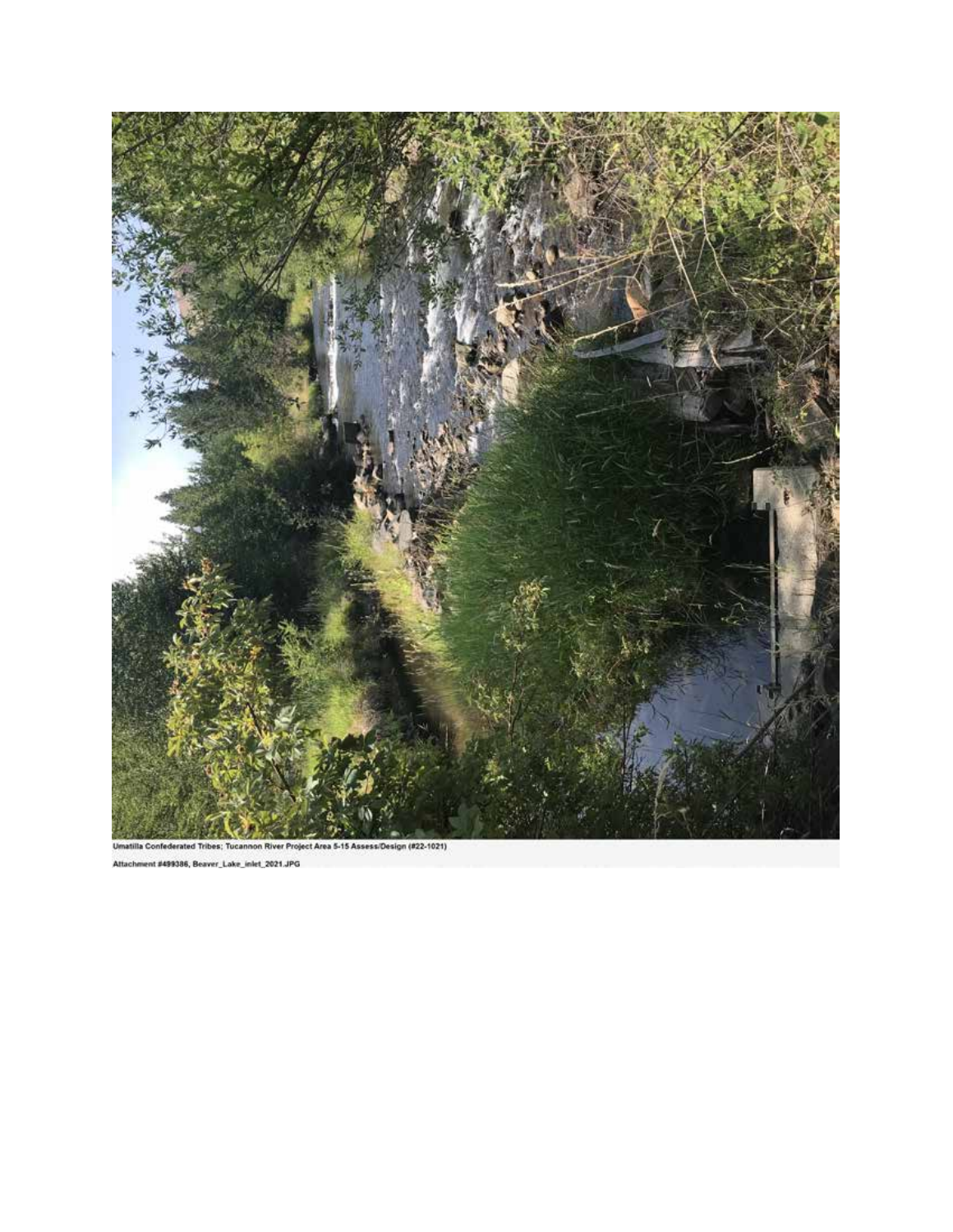

atilla Confederated Tribes; Tucannon River Project Area 5-15 Assess/Design (#22-1021) Un

Attachment #499386, Beaver\_Lake\_inlet\_2021.JPG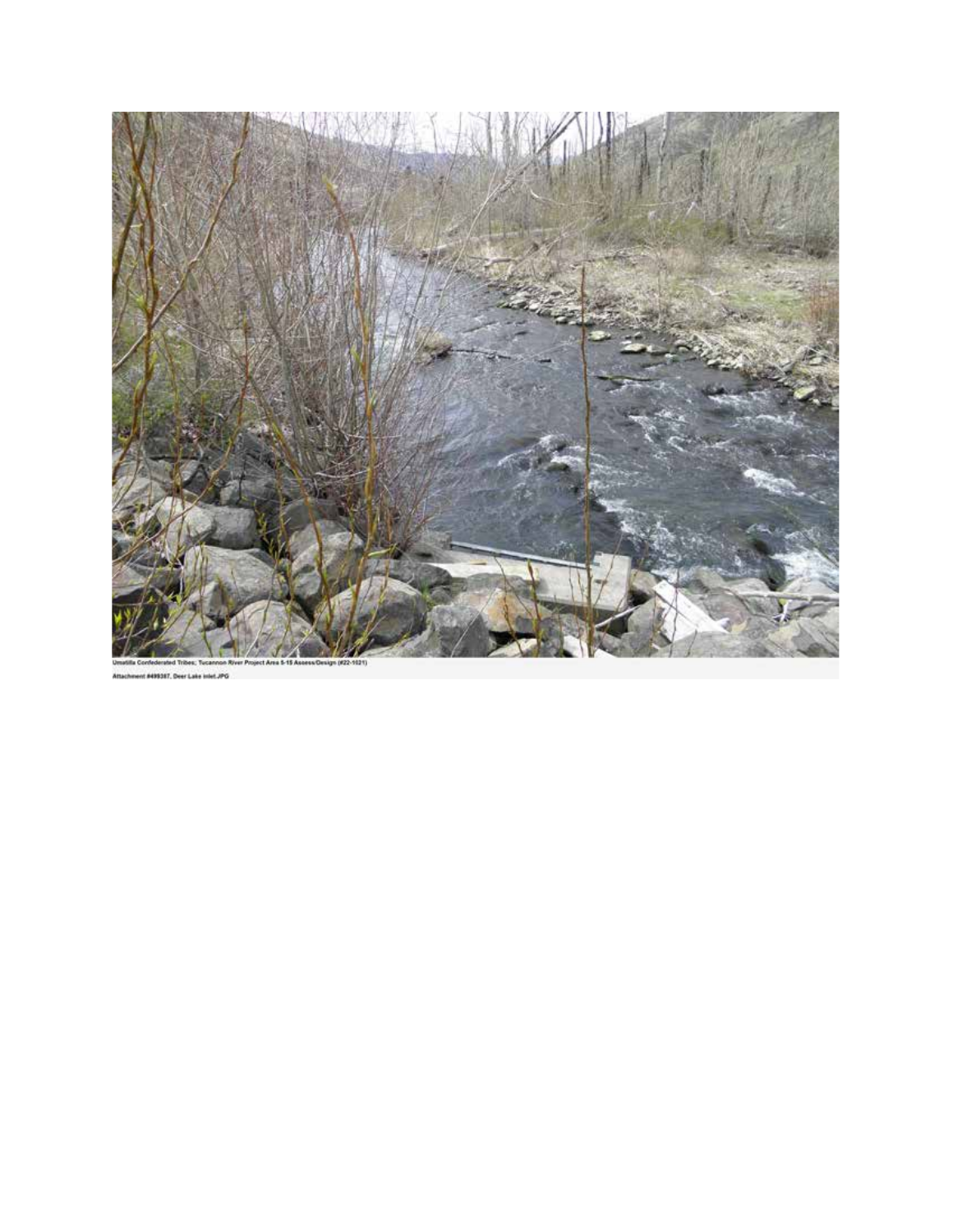

**INSERT, Chevr Lake in**  $+100$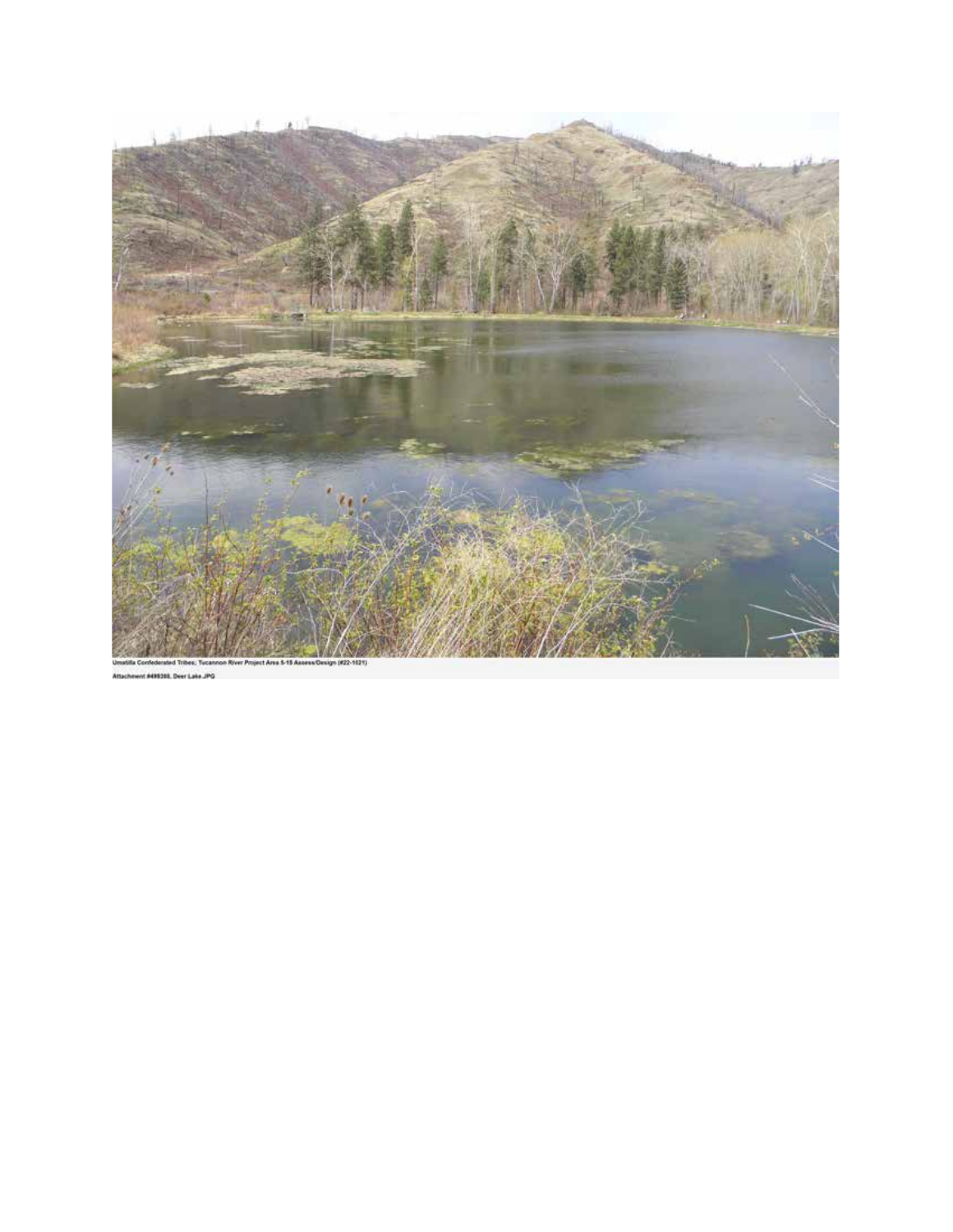